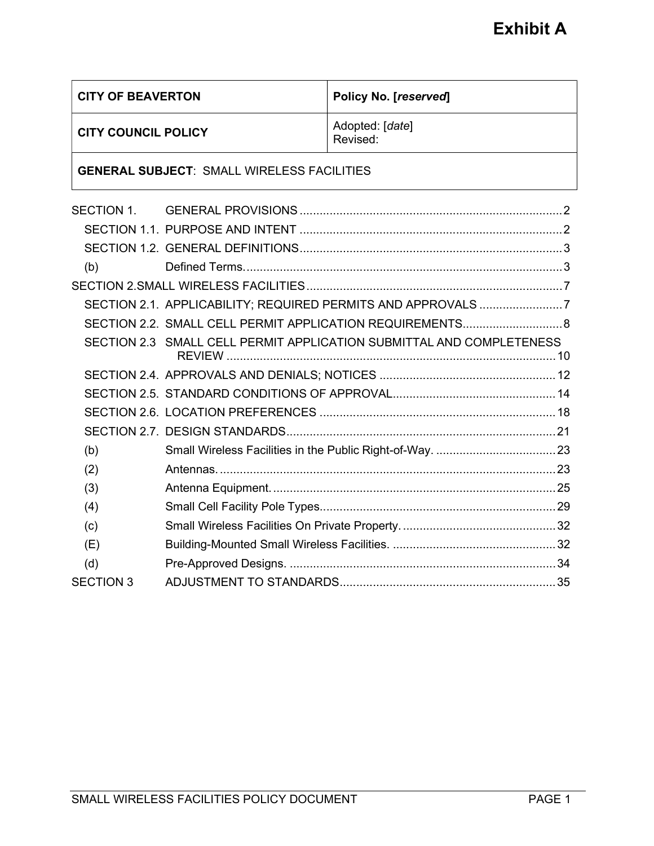| <b>CITY OF BEAVERTON</b>                          |                                                                      | Policy No. [reserved]       |  |
|---------------------------------------------------|----------------------------------------------------------------------|-----------------------------|--|
| <b>CITY COUNCIL POLICY</b>                        |                                                                      | Adopted: [date]<br>Revised: |  |
| <b>GENERAL SUBJECT: SMALL WIRELESS FACILITIES</b> |                                                                      |                             |  |
| SECTION 1.                                        |                                                                      |                             |  |
|                                                   |                                                                      |                             |  |
|                                                   |                                                                      |                             |  |
| (b)                                               |                                                                      |                             |  |
|                                                   |                                                                      |                             |  |
|                                                   | SECTION 2.1. APPLICABILITY; REQUIRED PERMITS AND APPROVALS 7         |                             |  |
|                                                   | SECTION 2.2. SMALL CELL PERMIT APPLICATION REQUIREMENTS 8            |                             |  |
|                                                   | SECTION 2.3 SMALL CELL PERMIT APPLICATION SUBMITTAL AND COMPLETENESS |                             |  |
|                                                   |                                                                      |                             |  |
|                                                   |                                                                      |                             |  |
|                                                   |                                                                      |                             |  |
|                                                   |                                                                      |                             |  |
| (b)                                               |                                                                      |                             |  |
| (2)                                               |                                                                      |                             |  |
| (3)                                               |                                                                      |                             |  |
| (4)                                               |                                                                      |                             |  |
| (c)                                               |                                                                      |                             |  |
| (E)                                               |                                                                      |                             |  |
| (d)                                               |                                                                      |                             |  |
| <b>SECTION 3</b>                                  |                                                                      |                             |  |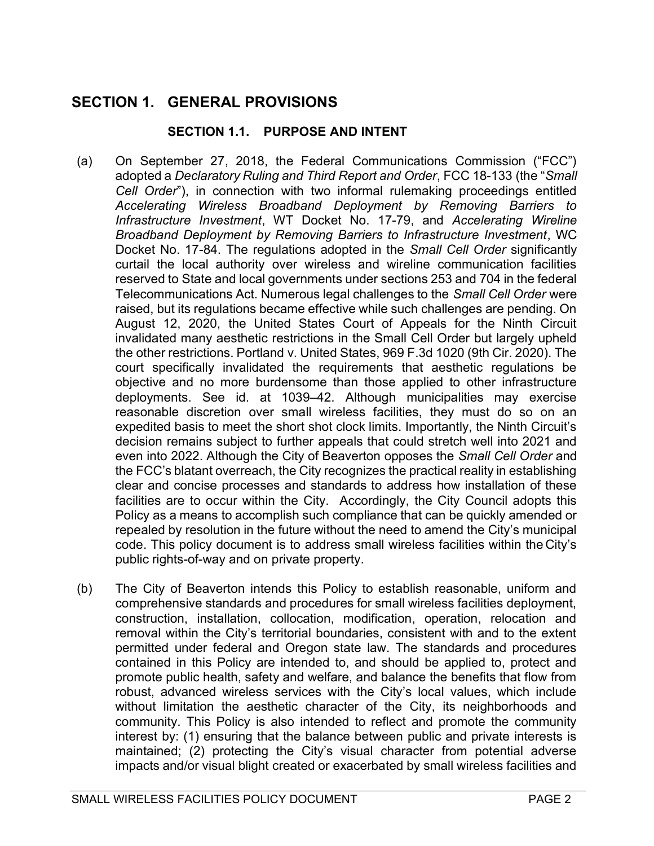# SECTION 1. GENERAL PROVISIONS

## SECTION 1.1. PURPOSE AND INTENT

- (a) On September 27, 2018, the Federal Communications Commission ("FCC") adopted a Declaratory Ruling and Third Report and Order, FCC 18-133 (the "Small Cell Order"), in connection with two informal rulemaking proceedings entitled Accelerating Wireless Broadband Deployment by Removing Barriers to Infrastructure Investment, WT Docket No. 17-79, and Accelerating Wireline Broadband Deployment by Removing Barriers to Infrastructure Investment, WC Docket No. 17-84. The regulations adopted in the Small Cell Order significantly curtail the local authority over wireless and wireline communication facilities reserved to State and local governments under sections 253 and 704 in the federal Telecommunications Act. Numerous legal challenges to the Small Cell Order were raised, but its regulations became effective while such challenges are pending. On August 12, 2020, the United States Court of Appeals for the Ninth Circuit invalidated many aesthetic restrictions in the Small Cell Order but largely upheld the other restrictions. Portland v. United States, 969 F.3d 1020 (9th Cir. 2020). The court specifically invalidated the requirements that aesthetic regulations be objective and no more burdensome than those applied to other infrastructure deployments. See id. at 1039–42. Although municipalities may exercise reasonable discretion over small wireless facilities, they must do so on an expedited basis to meet the short shot clock limits. Importantly, the Ninth Circuit's decision remains subject to further appeals that could stretch well into 2021 and even into 2022. Although the City of Beaverton opposes the Small Cell Order and the FCC's blatant overreach, the City recognizes the practical reality in establishing clear and concise processes and standards to address how installation of these facilities are to occur within the City. Accordingly, the City Council adopts this Policy as a means to accomplish such compliance that can be quickly amended or repealed by resolution in the future without the need to amend the City's municipal code. This policy document is to address small wireless facilities within the City's public rights-of-way and on private property.
- (b) The City of Beaverton intends this Policy to establish reasonable, uniform and comprehensive standards and procedures for small wireless facilities deployment, construction, installation, collocation, modification, operation, relocation and removal within the City's territorial boundaries, consistent with and to the extent permitted under federal and Oregon state law. The standards and procedures contained in this Policy are intended to, and should be applied to, protect and promote public health, safety and welfare, and balance the benefits that flow from robust, advanced wireless services with the City's local values, which include without limitation the aesthetic character of the City, its neighborhoods and community. This Policy is also intended to reflect and promote the community interest by: (1) ensuring that the balance between public and private interests is maintained; (2) protecting the City's visual character from potential adverse impacts and/or visual blight created or exacerbated by small wireless facilities and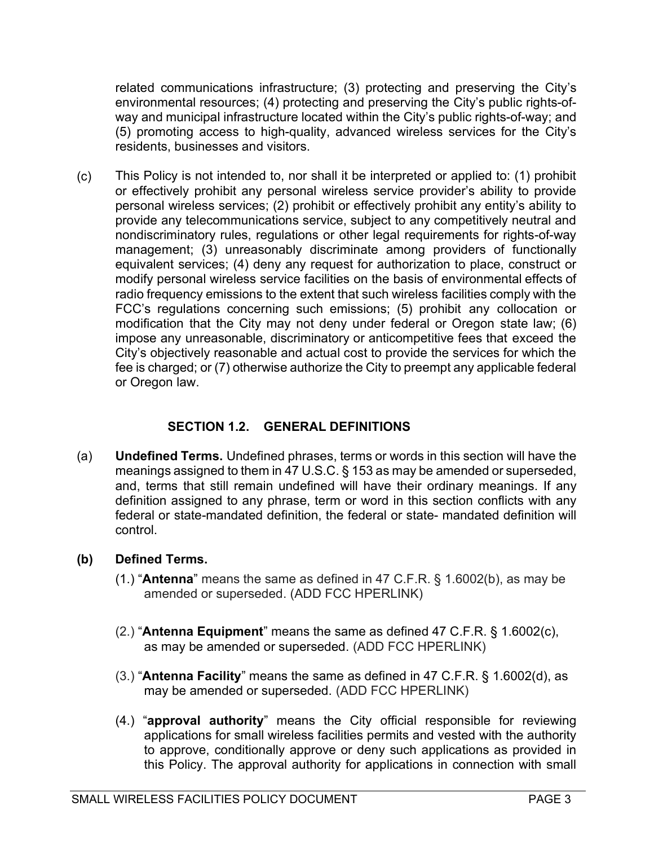related communications infrastructure; (3) protecting and preserving the City's environmental resources; (4) protecting and preserving the City's public rights-ofway and municipal infrastructure located within the City's public rights-of-way; and (5) promoting access to high-quality, advanced wireless services for the City's residents, businesses and visitors.

(c) This Policy is not intended to, nor shall it be interpreted or applied to: (1) prohibit or effectively prohibit any personal wireless service provider's ability to provide personal wireless services; (2) prohibit or effectively prohibit any entity's ability to provide any telecommunications service, subject to any competitively neutral and nondiscriminatory rules, regulations or other legal requirements for rights-of-way management; (3) unreasonably discriminate among providers of functionally equivalent services; (4) deny any request for authorization to place, construct or modify personal wireless service facilities on the basis of environmental effects of radio frequency emissions to the extent that such wireless facilities comply with the FCC's regulations concerning such emissions; (5) prohibit any collocation or modification that the City may not deny under federal or Oregon state law; (6) impose any unreasonable, discriminatory or anticompetitive fees that exceed the City's objectively reasonable and actual cost to provide the services for which the fee is charged; or (7) otherwise authorize the City to preempt any applicable federal or Oregon law.

## SECTION 1.2. GENERAL DEFINITIONS

(a) Undefined Terms. Undefined phrases, terms or words in this section will have the meanings assigned to them in 47 U.S.C. § 153 as may be amended or superseded, and, terms that still remain undefined will have their ordinary meanings. If any definition assigned to any phrase, term or word in this section conflicts with any federal or state-mandated definition, the federal or state- mandated definition will control.

## (b) Defined Terms.

- (1.) "Antenna" means the same as defined in 47 C.F.R. § 1.6002(b), as may be amended or superseded. (ADD FCC HPERLINK)
- $(2.)$  "Antenna Equipment" means the same as defined 47 C.F.R.  $\S$  1.6002(c), as may be amended or superseded. (ADD FCC HPERLINK)
- $(3)$  "Antenna Facility" means the same as defined in 47 C.F.R. § 1.6002(d), as may be amended or superseded. (ADD FCC HPERLINK)
- (4.) "approval authority" means the City official responsible for reviewing applications for small wireless facilities permits and vested with the authority to approve, conditionally approve or deny such applications as provided in this Policy. The approval authority for applications in connection with small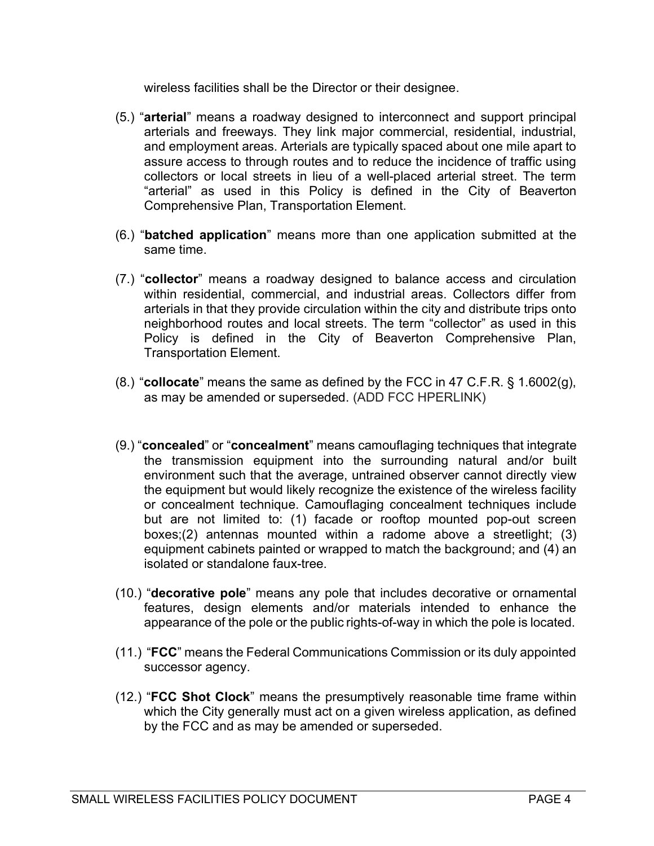wireless facilities shall be the Director or their designee.

- (5.) "arterial" means a roadway designed to interconnect and support principal arterials and freeways. They link major commercial, residential, industrial, and employment areas. Arterials are typically spaced about one mile apart to assure access to through routes and to reduce the incidence of traffic using collectors or local streets in lieu of a well-placed arterial street. The term "arterial" as used in this Policy is defined in the City of Beaverton Comprehensive Plan, Transportation Element.
- (6.) "batched application" means more than one application submitted at the same time.
- (7.) "collector" means a roadway designed to balance access and circulation within residential, commercial, and industrial areas. Collectors differ from arterials in that they provide circulation within the city and distribute trips onto neighborhood routes and local streets. The term "collector" as used in this Policy is defined in the City of Beaverton Comprehensive Plan, Transportation Element.
- $(8.)$  "collocate" means the same as defined by the FCC in 47 C.F.R. § 1.6002 $(q)$ , as may be amended or superseded. (ADD FCC HPERLINK)
- (9.) "concealed" or "concealment" means camouflaging techniques that integrate the transmission equipment into the surrounding natural and/or built environment such that the average, untrained observer cannot directly view the equipment but would likely recognize the existence of the wireless facility or concealment technique. Camouflaging concealment techniques include but are not limited to: (1) facade or rooftop mounted pop-out screen boxes;(2) antennas mounted within a radome above a streetlight; (3) equipment cabinets painted or wrapped to match the background; and (4) an isolated or standalone faux-tree.
- (10.) "decorative pole" means any pole that includes decorative or ornamental features, design elements and/or materials intended to enhance the appearance of the pole or the public rights-of-way in which the pole is located.
- (11.) "FCC" means the Federal Communications Commission or its duly appointed successor agency.
- (12.) "FCC Shot Clock" means the presumptively reasonable time frame within which the City generally must act on a given wireless application, as defined by the FCC and as may be amended or superseded.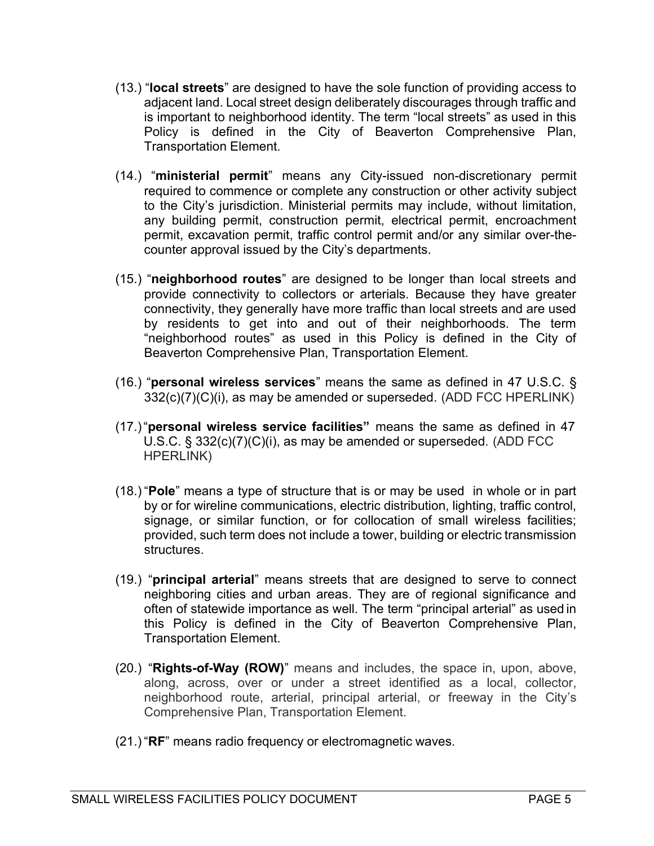- (13.) "local streets" are designed to have the sole function of providing access to adjacent land. Local street design deliberately discourages through traffic and is important to neighborhood identity. The term "local streets" as used in this Policy is defined in the City of Beaverton Comprehensive Plan, Transportation Element.
- (14.) "ministerial permit" means any City-issued non-discretionary permit required to commence or complete any construction or other activity subject to the City's jurisdiction. Ministerial permits may include, without limitation, any building permit, construction permit, electrical permit, encroachment permit, excavation permit, traffic control permit and/or any similar over-thecounter approval issued by the City's departments.
- (15.) "neighborhood routes" are designed to be longer than local streets and provide connectivity to collectors or arterials. Because they have greater connectivity, they generally have more traffic than local streets and are used by residents to get into and out of their neighborhoods. The term "neighborhood routes" as used in this Policy is defined in the City of Beaverton Comprehensive Plan, Transportation Element.
- (16.) "**personal wireless services**" means the same as defined in 47 U.S.C.  $\S$  $332(c)(7)(C)(i)$ , as may be amended or superseded. (ADD FCC HPERLINK)
- (17.) "personal wireless service facilities" means the same as defined in 47 U.S.C. § 332(c)(7)(C)(i), as may be amended or superseded. (ADD FCC HPERLINK)
- (18.) "Pole" means a type of structure that is or may be used in whole or in part by or for wireline communications, electric distribution, lighting, traffic control, signage, or similar function, or for collocation of small wireless facilities; provided, such term does not include a tower, building or electric transmission structures.
- (19.) "principal arterial" means streets that are designed to serve to connect neighboring cities and urban areas. They are of regional significance and often of statewide importance as well. The term "principal arterial" as used in this Policy is defined in the City of Beaverton Comprehensive Plan, Transportation Element.
- (20.) "Rights-of-Way (ROW)" means and includes, the space in, upon, above, along, across, over or under a street identified as a local, collector, neighborhood route, arterial, principal arterial, or freeway in the City's Comprehensive Plan, Transportation Element.
- (21.) "RF" means radio frequency or electromagnetic waves.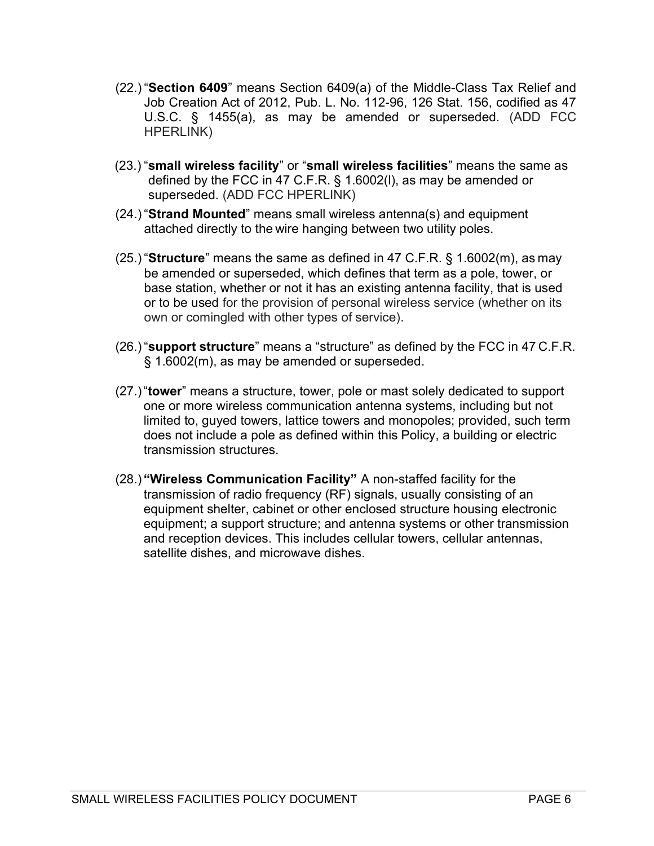- (22.) "Section 6409" means Section 6409(a) of the Middle-Class Tax Relief and Job Creation Act of 2012, Pub. L. No. 112-96, 126 Stat. 156, codified as 47 U.S.C. § 1455(a), as may be amended or superseded. (ADD FCC HPERLINK)
- (23.) "small wireless facility" or "small wireless facilities" means the same as defined by the FCC in 47 C.F.R. § 1.6002(l), as may be amended or superseded. (ADD FCC HPERLINK)
- (24.) "Strand Mounted" means small wireless antenna(s) and equipment attached directly to the wire hanging between two utility poles.
- $(25.$  "Structure" means the same as defined in 47 C.F.R. § 1.6002(m), as may be amended or superseded, which defines that term as a pole, tower, or base station, whether or not it has an existing antenna facility, that is used or to be used for the provision of personal wireless service (whether on its own or comingled with other types of service).
- (26.) "support structure" means a "structure" as defined by the FCC in 47 C.F.R. § 1.6002(m), as may be amended or superseded.
- (27.) "tower" means a structure, tower, pole or mast solely dedicated to support one or more wireless communication antenna systems, including but not limited to, guyed towers, lattice towers and monopoles; provided, such term does not include a pole as defined within this Policy, a building or electric transmission structures.
- (28.) "Wireless Communication Facility" A non-staffed facility for the transmission of radio frequency (RF) signals, usually consisting of an equipment shelter, cabinet or other enclosed structure housing electronic equipment; a support structure; and antenna systems or other transmission and reception devices. This includes cellular towers, cellular antennas, satellite dishes, and microwave dishes.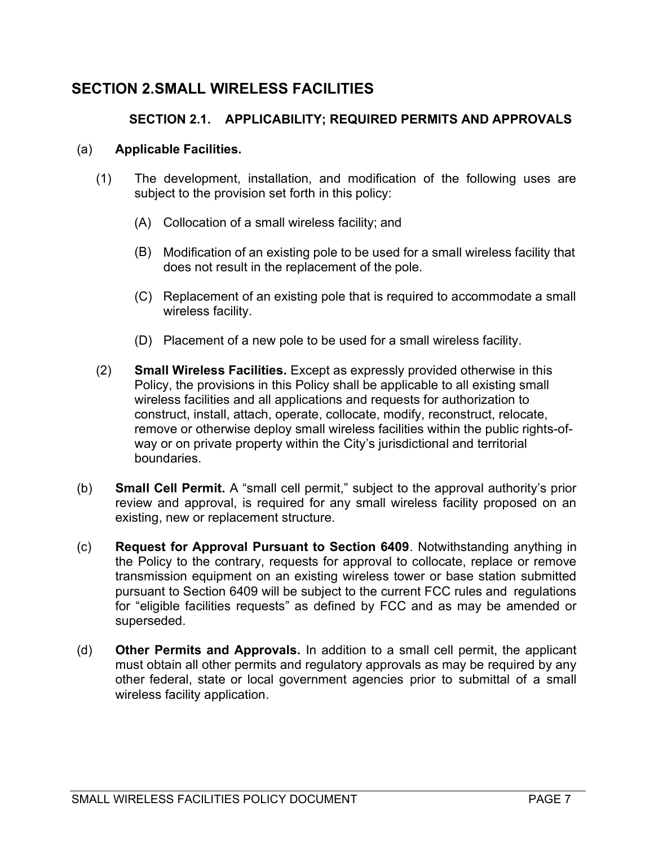## SECTION 2. SMALL WIRELESS FACILITIES

## SECTION 2.1. APPLICABILITY; REQUIRED PERMITS AND APPROVALS

#### (a) Applicable Facilities.

- (1) The development, installation, and modification of the following uses are subject to the provision set forth in this policy:
	- (A) Collocation of a small wireless facility; and
	- (B) Modification of an existing pole to be used for a small wireless facility that does not result in the replacement of the pole.
	- (C) Replacement of an existing pole that is required to accommodate a small wireless facility.
	- (D) Placement of a new pole to be used for a small wireless facility.
- (2) Small Wireless Facilities. Except as expressly provided otherwise in this Policy, the provisions in this Policy shall be applicable to all existing small wireless facilities and all applications and requests for authorization to construct, install, attach, operate, collocate, modify, reconstruct, relocate, remove or otherwise deploy small wireless facilities within the public rights-ofway or on private property within the City's jurisdictional and territorial boundaries.
- (b) Small Cell Permit. A "small cell permit," subject to the approval authority's prior review and approval, is required for any small wireless facility proposed on an existing, new or replacement structure.
- (c) Request for Approval Pursuant to Section 6409. Notwithstanding anything in the Policy to the contrary, requests for approval to collocate, replace or remove transmission equipment on an existing wireless tower or base station submitted pursuant to Section 6409 will be subject to the current FCC rules and regulations for "eligible facilities requests" as defined by FCC and as may be amended or superseded.
- (d) Other Permits and Approvals. In addition to a small cell permit, the applicant must obtain all other permits and regulatory approvals as may be required by any other federal, state or local government agencies prior to submittal of a small wireless facility application.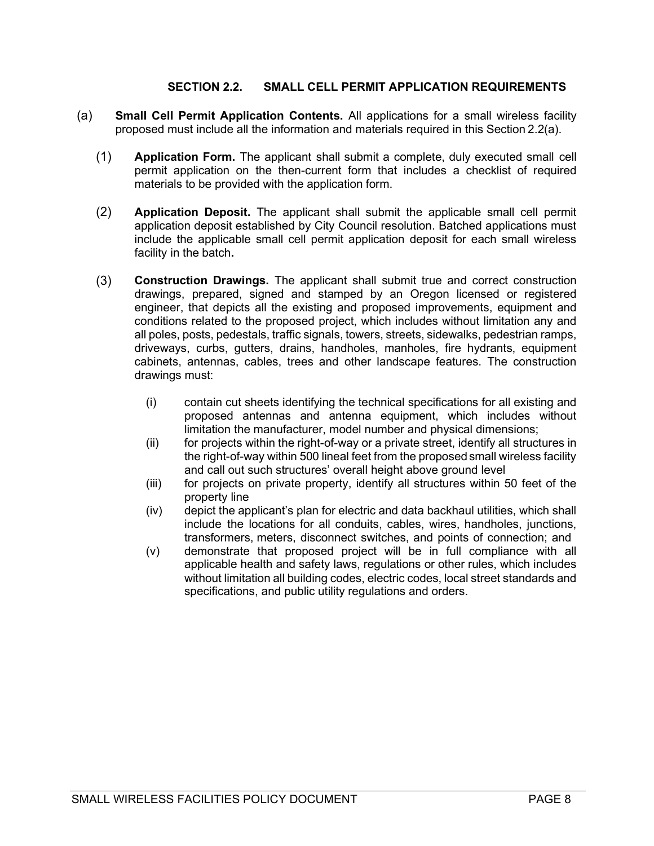#### SECTION 2.2. SMALL CELL PERMIT APPLICATION REQUIREMENTS

- (a) Small Cell Permit Application Contents. All applications for a small wireless facility proposed must include all the information and materials required in this Section 2.2(a).
	- (1) Application Form. The applicant shall submit a complete, duly executed small cell permit application on the then-current form that includes a checklist of required materials to be provided with the application form.
	- (2) Application Deposit. The applicant shall submit the applicable small cell permit application deposit established by City Council resolution. Batched applications must include the applicable small cell permit application deposit for each small wireless facility in the batch.
	- (3) Construction Drawings. The applicant shall submit true and correct construction drawings, prepared, signed and stamped by an Oregon licensed or registered engineer, that depicts all the existing and proposed improvements, equipment and conditions related to the proposed project, which includes without limitation any and all poles, posts, pedestals, traffic signals, towers, streets, sidewalks, pedestrian ramps, driveways, curbs, gutters, drains, handholes, manholes, fire hydrants, equipment cabinets, antennas, cables, trees and other landscape features. The construction drawings must:
		- (i) contain cut sheets identifying the technical specifications for all existing and proposed antennas and antenna equipment, which includes without limitation the manufacturer, model number and physical dimensions;
		- (ii) for projects within the right-of-way or a private street, identify all structures in the right-of-way within 500 lineal feet from the proposed small wireless facility and call out such structures' overall height above ground level
		- (iii) for projects on private property, identify all structures within 50 feet of the property line
		- (iv) depict the applicant's plan for electric and data backhaul utilities, which shall include the locations for all conduits, cables, wires, handholes, junctions, transformers, meters, disconnect switches, and points of connection; and
		- (v) demonstrate that proposed project will be in full compliance with all applicable health and safety laws, regulations or other rules, which includes without limitation all building codes, electric codes, local street standards and specifications, and public utility regulations and orders.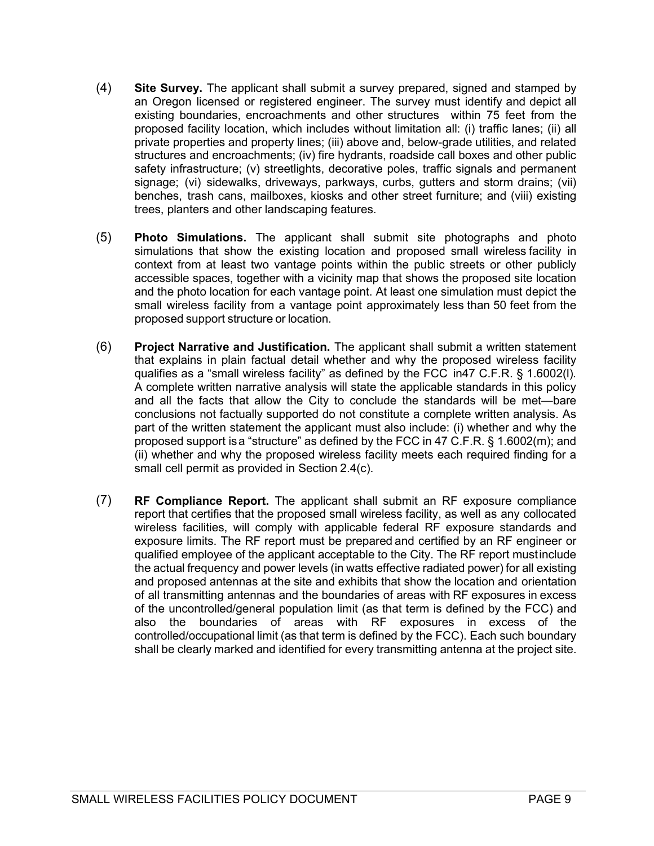- (4) Site Survey. The applicant shall submit a survey prepared, signed and stamped by an Oregon licensed or registered engineer. The survey must identify and depict all existing boundaries, encroachments and other structures within 75 feet from the proposed facility location, which includes without limitation all: (i) traffic lanes; (ii) all private properties and property lines; (iii) above and, below-grade utilities, and related structures and encroachments; (iv) fire hydrants, roadside call boxes and other public safety infrastructure; (v) streetlights, decorative poles, traffic signals and permanent signage; (vi) sidewalks, driveways, parkways, curbs, gutters and storm drains; (vii) benches, trash cans, mailboxes, kiosks and other street furniture; and (viii) existing trees, planters and other landscaping features.
- (5) Photo Simulations. The applicant shall submit site photographs and photo simulations that show the existing location and proposed small wireless facility in context from at least two vantage points within the public streets or other publicly accessible spaces, together with a vicinity map that shows the proposed site location and the photo location for each vantage point. At least one simulation must depict the small wireless facility from a vantage point approximately less than 50 feet from the proposed support structure or location.
- (6) Project Narrative and Justification. The applicant shall submit a written statement that explains in plain factual detail whether and why the proposed wireless facility qualifies as a "small wireless facility" as defined by the FCC in47 C.F.R. § 1.6002(l). A complete written narrative analysis will state the applicable standards in this policy and all the facts that allow the City to conclude the standards will be met—bare conclusions not factually supported do not constitute a complete written analysis. As part of the written statement the applicant must also include: (i) whether and why the proposed support is a "structure" as defined by the FCC in 47 C.F.R. § 1.6002(m); and (ii) whether and why the proposed wireless facility meets each required finding for a small cell permit as provided in Section 2.4(c).
- (7) RF Compliance Report. The applicant shall submit an RF exposure compliance report that certifies that the proposed small wireless facility, as well as any collocated wireless facilities, will comply with applicable federal RF exposure standards and exposure limits. The RF report must be prepared and certified by an RF engineer or qualified employee of the applicant acceptable to the City. The RF report must include the actual frequency and power levels (in watts effective radiated power) for all existing and proposed antennas at the site and exhibits that show the location and orientation of all transmitting antennas and the boundaries of areas with RF exposures in excess of the uncontrolled/general population limit (as that term is defined by the FCC) and also the boundaries of areas with RF exposures in excess of the controlled/occupational limit (as that term is defined by the FCC). Each such boundary shall be clearly marked and identified for every transmitting antenna at the project site.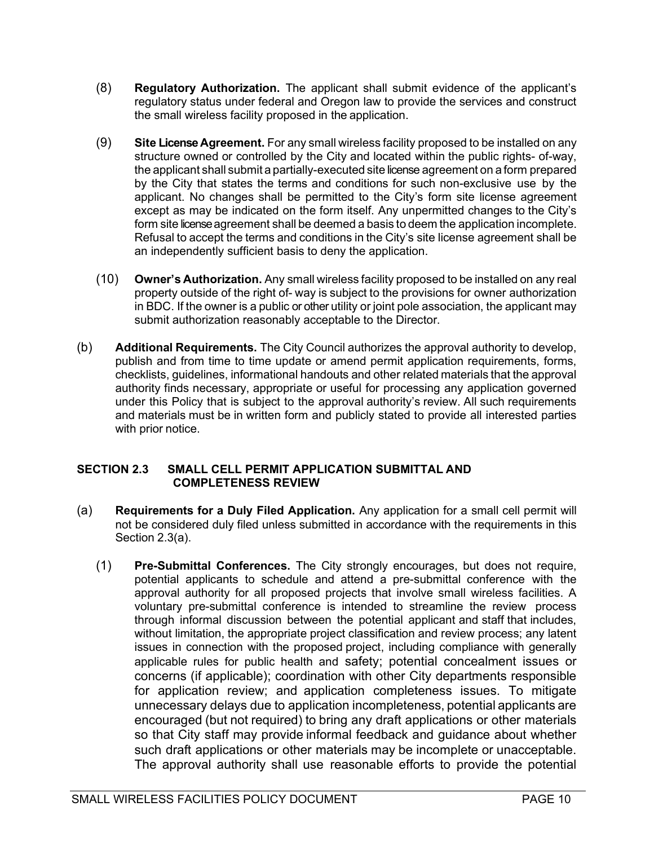- (8) Regulatory Authorization. The applicant shall submit evidence of the applicant's regulatory status under federal and Oregon law to provide the services and construct the small wireless facility proposed in the application.
- (9) Site License Agreement. For any small wireless facility proposed to be installed on any structure owned or controlled by the City and located within the public rights- of-way, the applicant shall submit a partially-executed site license agreement on a form prepared by the City that states the terms and conditions for such non-exclusive use by the applicant. No changes shall be permitted to the City's form site license agreement except as may be indicated on the form itself. Any unpermitted changes to the City's form site license agreement shall be deemed a basis to deem the application incomplete. Refusal to accept the terms and conditions in the City's site license agreement shall be an independently sufficient basis to deny the application.
- (10) Owner's Authorization. Any small wireless facility proposed to be installed on any real property outside of the right of- way is subject to the provisions for owner authorization in BDC. If the owner is a public or other utility or joint pole association, the applicant may submit authorization reasonably acceptable to the Director.
- (b) Additional Requirements. The City Council authorizes the approval authority to develop, publish and from time to time update or amend permit application requirements, forms, checklists, guidelines, informational handouts and other related materials that the approval authority finds necessary, appropriate or useful for processing any application governed under this Policy that is subject to the approval authority's review. All such requirements and materials must be in written form and publicly stated to provide all interested parties with prior notice.

#### SECTION 2.3 SMALL CELL PERMIT APPLICATION SUBMITTAL AND COMPLETENESS REVIEW

- (a) Requirements for a Duly Filed Application. Any application for a small cell permit will not be considered duly filed unless submitted in accordance with the requirements in this Section 2.3(a).
	- (1) Pre-Submittal Conferences. The City strongly encourages, but does not require, potential applicants to schedule and attend a pre-submittal conference with the approval authority for all proposed projects that involve small wireless facilities. A voluntary pre-submittal conference is intended to streamline the review process through informal discussion between the potential applicant and staff that includes, without limitation, the appropriate project classification and review process; any latent issues in connection with the proposed project, including compliance with generally applicable rules for public health and safety; potential concealment issues or concerns (if applicable); coordination with other City departments responsible for application review; and application completeness issues. To mitigate unnecessary delays due to application incompleteness, potential applicants are encouraged (but not required) to bring any draft applications or other materials so that City staff may provide informal feedback and guidance about whether such draft applications or other materials may be incomplete or unacceptable. The approval authority shall use reasonable efforts to provide the potential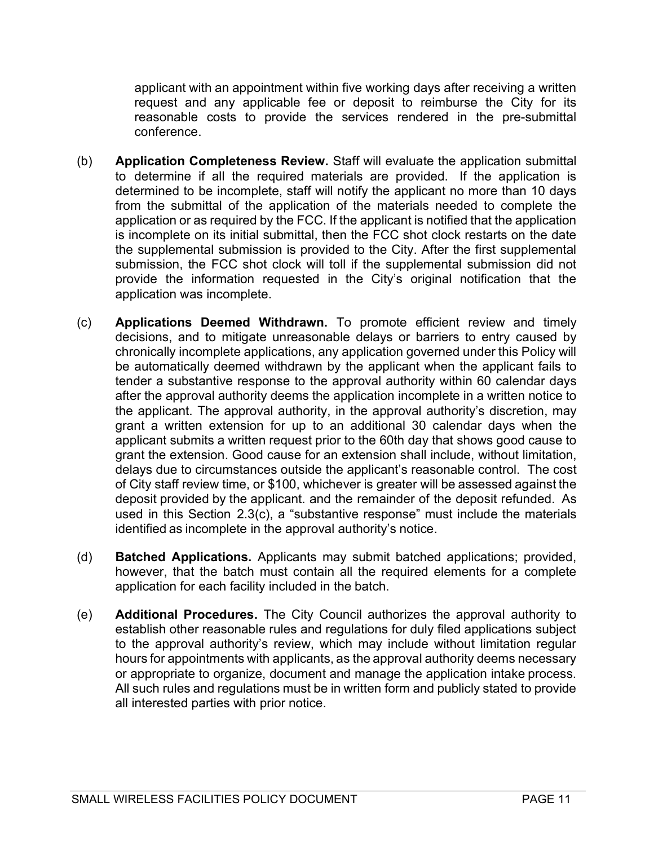applicant with an appointment within five working days after receiving a written request and any applicable fee or deposit to reimburse the City for its reasonable costs to provide the services rendered in the pre-submittal conference.

- (b) Application Completeness Review. Staff will evaluate the application submittal to determine if all the required materials are provided. If the application is determined to be incomplete, staff will notify the applicant no more than 10 days from the submittal of the application of the materials needed to complete the application or as required by the FCC. If the applicant is notified that the application is incomplete on its initial submittal, then the FCC shot clock restarts on the date the supplemental submission is provided to the City. After the first supplemental submission, the FCC shot clock will toll if the supplemental submission did not provide the information requested in the City's original notification that the application was incomplete.
- (c) Applications Deemed Withdrawn. To promote efficient review and timely decisions, and to mitigate unreasonable delays or barriers to entry caused by chronically incomplete applications, any application governed under this Policy will be automatically deemed withdrawn by the applicant when the applicant fails to tender a substantive response to the approval authority within 60 calendar days after the approval authority deems the application incomplete in a written notice to the applicant. The approval authority, in the approval authority's discretion, may grant a written extension for up to an additional 30 calendar days when the applicant submits a written request prior to the 60th day that shows good cause to grant the extension. Good cause for an extension shall include, without limitation, delays due to circumstances outside the applicant's reasonable control. The cost of City staff review time, or \$100, whichever is greater will be assessed against the deposit provided by the applicant. and the remainder of the deposit refunded. As used in this Section 2.3(c), a "substantive response" must include the materials identified as incomplete in the approval authority's notice.
- (d) Batched Applications. Applicants may submit batched applications; provided, however, that the batch must contain all the required elements for a complete application for each facility included in the batch.
- (e) Additional Procedures. The City Council authorizes the approval authority to establish other reasonable rules and regulations for duly filed applications subject to the approval authority's review, which may include without limitation regular hours for appointments with applicants, as the approval authority deems necessary or appropriate to organize, document and manage the application intake process. All such rules and regulations must be in written form and publicly stated to provide all interested parties with prior notice.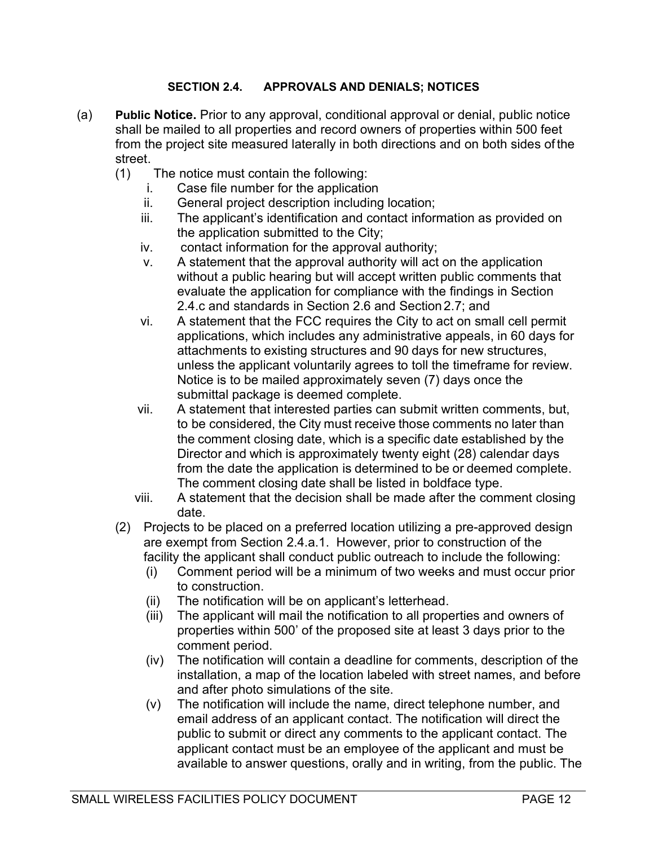#### SECTION 2.4. APPROVALS AND DENIALS; NOTICES

- (a) Public Notice. Prior to any approval, conditional approval or denial, public notice shall be mailed to all properties and record owners of properties within 500 feet from the project site measured laterally in both directions and on both sides of the street.
	- (1) The notice must contain the following:
		- i. Case file number for the application
		- ii. General project description including location;
		- iii. The applicant's identification and contact information as provided on the application submitted to the City;
		- iv. contact information for the approval authority;
		- v. A statement that the approval authority will act on the application without a public hearing but will accept written public comments that evaluate the application for compliance with the findings in Section 2.4.c and standards in Section 2.6 and Section 2.7; and
		- vi. A statement that the FCC requires the City to act on small cell permit applications, which includes any administrative appeals, in 60 days for attachments to existing structures and 90 days for new structures, unless the applicant voluntarily agrees to toll the timeframe for review. Notice is to be mailed approximately seven (7) days once the submittal package is deemed complete.
		- vii. A statement that interested parties can submit written comments, but, to be considered, the City must receive those comments no later than the comment closing date, which is a specific date established by the Director and which is approximately twenty eight (28) calendar days from the date the application is determined to be or deemed complete. The comment closing date shall be listed in boldface type.
		- viii. A statement that the decision shall be made after the comment closing date.
	- (2) Projects to be placed on a preferred location utilizing a pre-approved design are exempt from Section 2.4.a.1. However, prior to construction of the facility the applicant shall conduct public outreach to include the following:
		- (i) Comment period will be a minimum of two weeks and must occur prior to construction.
		- (ii) The notification will be on applicant's letterhead.
		- (iii) The applicant will mail the notification to all properties and owners of properties within 500' of the proposed site at least 3 days prior to the comment period.
		- (iv) The notification will contain a deadline for comments, description of the installation, a map of the location labeled with street names, and before and after photo simulations of the site.
		- (v) The notification will include the name, direct telephone number, and email address of an applicant contact. The notification will direct the public to submit or direct any comments to the applicant contact. The applicant contact must be an employee of the applicant and must be available to answer questions, orally and in writing, from the public. The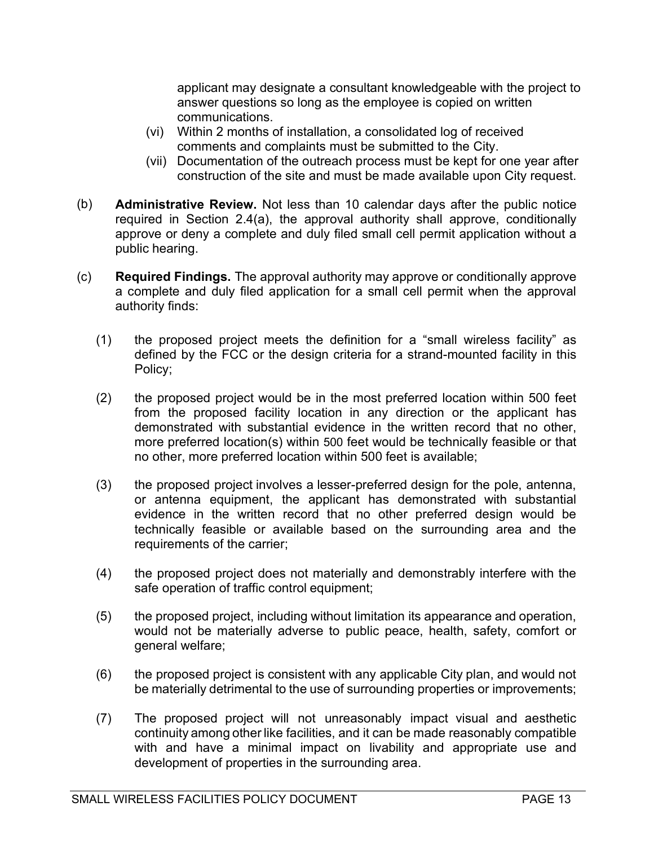applicant may designate a consultant knowledgeable with the project to answer questions so long as the employee is copied on written communications.

- (vi) Within 2 months of installation, a consolidated log of received comments and complaints must be submitted to the City.
- (vii) Documentation of the outreach process must be kept for one year after construction of the site and must be made available upon City request.
- (b) Administrative Review. Not less than 10 calendar days after the public notice required in Section 2.4(a), the approval authority shall approve, conditionally approve or deny a complete and duly filed small cell permit application without a public hearing.
- (c) Required Findings. The approval authority may approve or conditionally approve a complete and duly filed application for a small cell permit when the approval authority finds:
	- (1) the proposed project meets the definition for a "small wireless facility" as defined by the FCC or the design criteria for a strand-mounted facility in this Policy;
	- (2) the proposed project would be in the most preferred location within 500 feet from the proposed facility location in any direction or the applicant has demonstrated with substantial evidence in the written record that no other, more preferred location(s) within 500 feet would be technically feasible or that no other, more preferred location within 500 feet is available;
	- (3) the proposed project involves a lesser-preferred design for the pole, antenna, or antenna equipment, the applicant has demonstrated with substantial evidence in the written record that no other preferred design would be technically feasible or available based on the surrounding area and the requirements of the carrier;
	- (4) the proposed project does not materially and demonstrably interfere with the safe operation of traffic control equipment;
	- (5) the proposed project, including without limitation its appearance and operation, would not be materially adverse to public peace, health, safety, comfort or general welfare;
	- (6) the proposed project is consistent with any applicable City plan, and would not be materially detrimental to the use of surrounding properties or improvements;
	- (7) The proposed project will not unreasonably impact visual and aesthetic continuity among other like facilities, and it can be made reasonably compatible with and have a minimal impact on livability and appropriate use and development of properties in the surrounding area.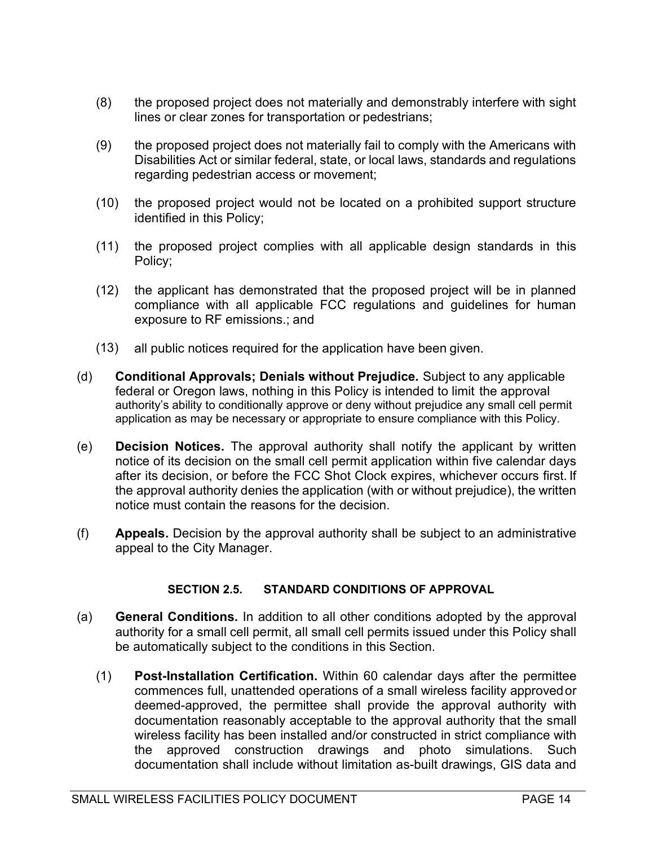- (8) the proposed project does not materially and demonstrably interfere with sight lines or clear zones for transportation or pedestrians;
- (9) the proposed project does not materially fail to comply with the Americans with Disabilities Act or similar federal, state, or local laws, standards and regulations regarding pedestrian access or movement;
- (10) the proposed project would not be located on a prohibited support structure identified in this Policy;
- (11) the proposed project complies with all applicable design standards in this Policy;
- (12) the applicant has demonstrated that the proposed project will be in planned compliance with all applicable FCC regulations and guidelines for human exposure to RF emissions.; and
- (13) all public notices required for the application have been given.
- (d) Conditional Approvals; Denials without Prejudice. Subject to any applicable federal or Oregon laws, nothing in this Policy is intended to limit the approval authority's ability to conditionally approve or deny without prejudice any small cell permit application as may be necessary or appropriate to ensure compliance with this Policy.
- (e) Decision Notices. The approval authority shall notify the applicant by written notice of its decision on the small cell permit application within five calendar days after its decision, or before the FCC Shot Clock expires, whichever occurs first. If the approval authority denies the application (with or without prejudice), the written notice must contain the reasons for the decision.
- (f) Appeals. Decision by the approval authority shall be subject to an administrative appeal to the City Manager.

#### SECTION 2.5. STANDARD CONDITIONS OF APPROVAL

- (a) General Conditions. In addition to all other conditions adopted by the approval authority for a small cell permit, all small cell permits issued under this Policy shall be automatically subject to the conditions in this Section.
	- (1) Post-Installation Certification. Within 60 calendar days after the permittee commences full, unattended operations of a small wireless facility approved or deemed-approved, the permittee shall provide the approval authority with documentation reasonably acceptable to the approval authority that the small wireless facility has been installed and/or constructed in strict compliance with the approved construction drawings and photo simulations. Such documentation shall include without limitation as-built drawings, GIS data and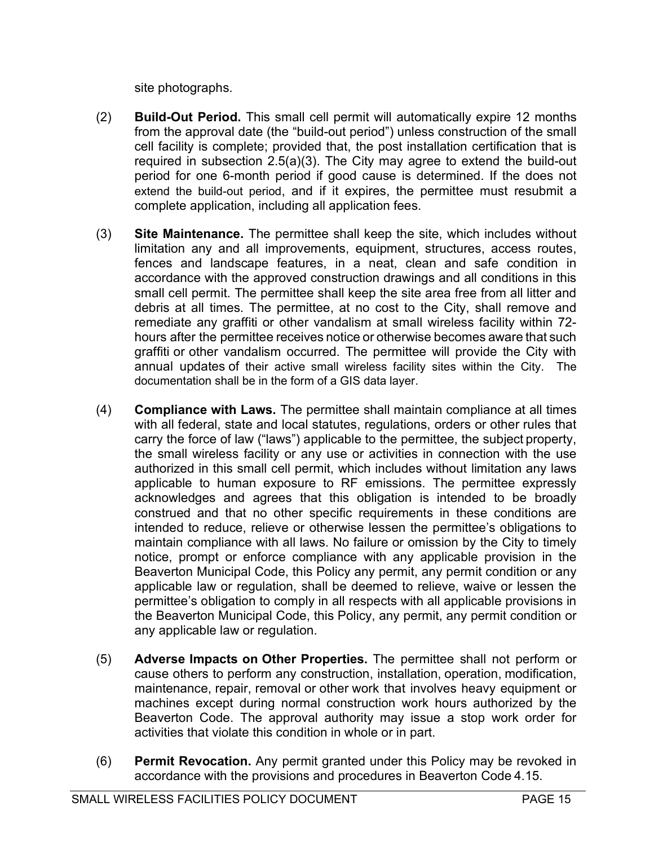site photographs.

- (2) Build-Out Period. This small cell permit will automatically expire 12 months from the approval date (the "build-out period") unless construction of the small cell facility is complete; provided that, the post installation certification that is required in subsection 2.5(a)(3). The City may agree to extend the build-out period for one 6-month period if good cause is determined. If the does not extend the build-out period, and if it expires, the permittee must resubmit a complete application, including all application fees.
- (3) Site Maintenance. The permittee shall keep the site, which includes without limitation any and all improvements, equipment, structures, access routes, fences and landscape features, in a neat, clean and safe condition in accordance with the approved construction drawings and all conditions in this small cell permit. The permittee shall keep the site area free from all litter and debris at all times. The permittee, at no cost to the City, shall remove and remediate any graffiti or other vandalism at small wireless facility within 72 hours after the permittee receives notice or otherwise becomes aware that such graffiti or other vandalism occurred. The permittee will provide the City with annual updates of their active small wireless facility sites within the City. The documentation shall be in the form of a GIS data layer.
- (4) Compliance with Laws. The permittee shall maintain compliance at all times with all federal, state and local statutes, regulations, orders or other rules that carry the force of law ("laws") applicable to the permittee, the subject property, the small wireless facility or any use or activities in connection with the use authorized in this small cell permit, which includes without limitation any laws applicable to human exposure to RF emissions. The permittee expressly acknowledges and agrees that this obligation is intended to be broadly construed and that no other specific requirements in these conditions are intended to reduce, relieve or otherwise lessen the permittee's obligations to maintain compliance with all laws. No failure or omission by the City to timely notice, prompt or enforce compliance with any applicable provision in the Beaverton Municipal Code, this Policy any permit, any permit condition or any applicable law or regulation, shall be deemed to relieve, waive or lessen the permittee's obligation to comply in all respects with all applicable provisions in the Beaverton Municipal Code, this Policy, any permit, any permit condition or any applicable law or regulation.
- (5) Adverse Impacts on Other Properties. The permittee shall not perform or cause others to perform any construction, installation, operation, modification, maintenance, repair, removal or other work that involves heavy equipment or machines except during normal construction work hours authorized by the Beaverton Code. The approval authority may issue a stop work order for activities that violate this condition in whole or in part.
- (6) Permit Revocation. Any permit granted under this Policy may be revoked in accordance with the provisions and procedures in Beaverton Code 4.15.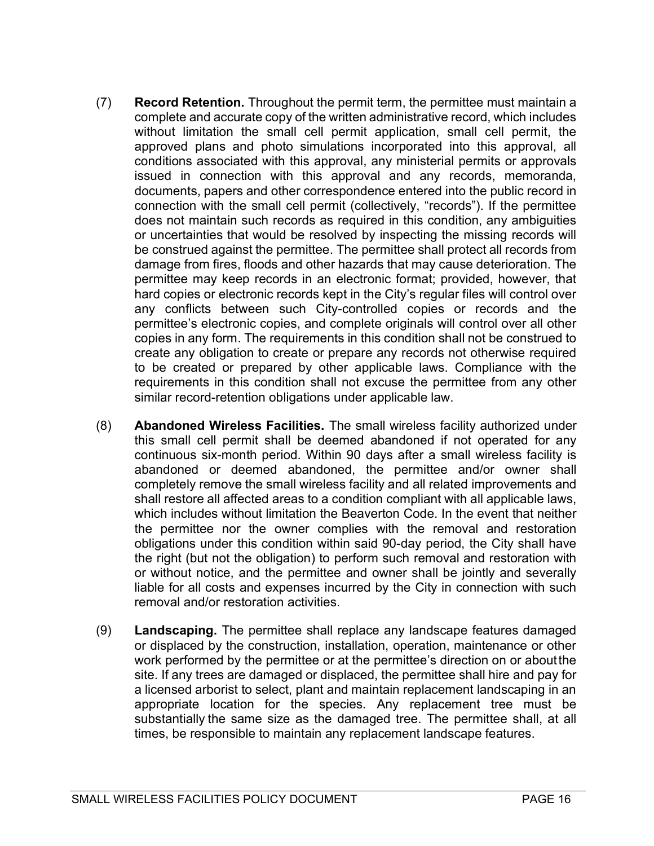- (7) Record Retention. Throughout the permit term, the permittee must maintain a complete and accurate copy of the written administrative record, which includes without limitation the small cell permit application, small cell permit, the approved plans and photo simulations incorporated into this approval, all conditions associated with this approval, any ministerial permits or approvals issued in connection with this approval and any records, memoranda, documents, papers and other correspondence entered into the public record in connection with the small cell permit (collectively, "records"). If the permittee does not maintain such records as required in this condition, any ambiguities or uncertainties that would be resolved by inspecting the missing records will be construed against the permittee. The permittee shall protect all records from damage from fires, floods and other hazards that may cause deterioration. The permittee may keep records in an electronic format; provided, however, that hard copies or electronic records kept in the City's regular files will control over any conflicts between such City-controlled copies or records and the permittee's electronic copies, and complete originals will control over all other copies in any form. The requirements in this condition shall not be construed to create any obligation to create or prepare any records not otherwise required to be created or prepared by other applicable laws. Compliance with the requirements in this condition shall not excuse the permittee from any other similar record-retention obligations under applicable law.
- (8) Abandoned Wireless Facilities. The small wireless facility authorized under this small cell permit shall be deemed abandoned if not operated for any continuous six-month period. Within 90 days after a small wireless facility is abandoned or deemed abandoned, the permittee and/or owner shall completely remove the small wireless facility and all related improvements and shall restore all affected areas to a condition compliant with all applicable laws, which includes without limitation the Beaverton Code. In the event that neither the permittee nor the owner complies with the removal and restoration obligations under this condition within said 90-day period, the City shall have the right (but not the obligation) to perform such removal and restoration with or without notice, and the permittee and owner shall be jointly and severally liable for all costs and expenses incurred by the City in connection with such removal and/or restoration activities.
- (9) Landscaping. The permittee shall replace any landscape features damaged or displaced by the construction, installation, operation, maintenance or other work performed by the permittee or at the permittee's direction on or about the site. If any trees are damaged or displaced, the permittee shall hire and pay for a licensed arborist to select, plant and maintain replacement landscaping in an appropriate location for the species. Any replacement tree must be substantially the same size as the damaged tree. The permittee shall, at all times, be responsible to maintain any replacement landscape features.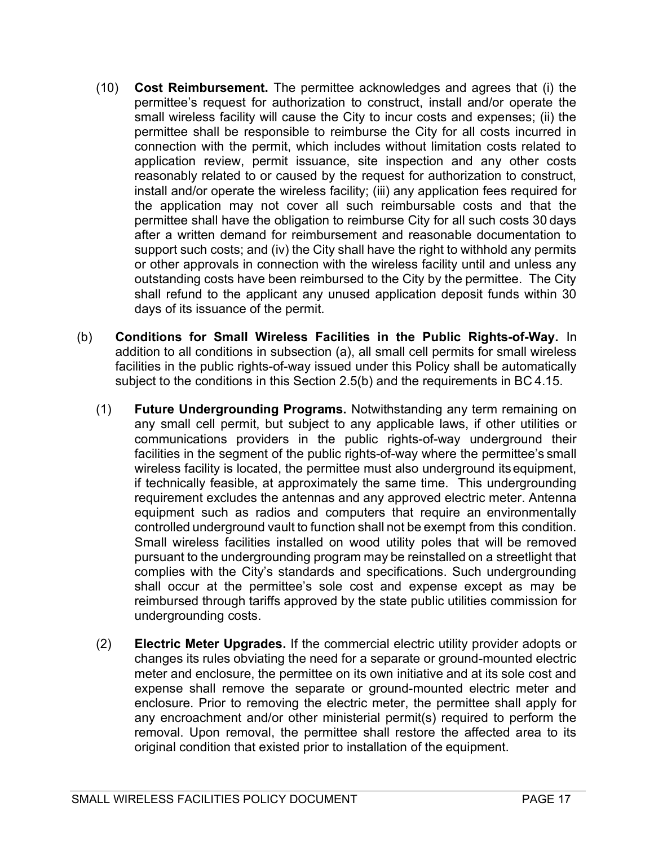- (10) Cost Reimbursement. The permittee acknowledges and agrees that (i) the permittee's request for authorization to construct, install and/or operate the small wireless facility will cause the City to incur costs and expenses; (ii) the permittee shall be responsible to reimburse the City for all costs incurred in connection with the permit, which includes without limitation costs related to application review, permit issuance, site inspection and any other costs reasonably related to or caused by the request for authorization to construct, install and/or operate the wireless facility; (iii) any application fees required for the application may not cover all such reimbursable costs and that the permittee shall have the obligation to reimburse City for all such costs 30 days after a written demand for reimbursement and reasonable documentation to support such costs; and (iv) the City shall have the right to withhold any permits or other approvals in connection with the wireless facility until and unless any outstanding costs have been reimbursed to the City by the permittee. The City shall refund to the applicant any unused application deposit funds within 30 days of its issuance of the permit.
- (b) Conditions for Small Wireless Facilities in the Public Rights-of-Way. In addition to all conditions in subsection (a), all small cell permits for small wireless facilities in the public rights-of-way issued under this Policy shall be automatically subject to the conditions in this Section 2.5(b) and the requirements in BC 4.15.
	- (1) Future Undergrounding Programs. Notwithstanding any term remaining on any small cell permit, but subject to any applicable laws, if other utilities or communications providers in the public rights-of-way underground their facilities in the segment of the public rights-of-way where the permittee's small wireless facility is located, the permittee must also underground its equipment, if technically feasible, at approximately the same time. This undergrounding requirement excludes the antennas and any approved electric meter. Antenna equipment such as radios and computers that require an environmentally controlled underground vault to function shall not be exempt from this condition. Small wireless facilities installed on wood utility poles that will be removed pursuant to the undergrounding program may be reinstalled on a streetlight that complies with the City's standards and specifications. Such undergrounding shall occur at the permittee's sole cost and expense except as may be reimbursed through tariffs approved by the state public utilities commission for undergrounding costs.
	- (2) Electric Meter Upgrades. If the commercial electric utility provider adopts or changes its rules obviating the need for a separate or ground-mounted electric meter and enclosure, the permittee on its own initiative and at its sole cost and expense shall remove the separate or ground-mounted electric meter and enclosure. Prior to removing the electric meter, the permittee shall apply for any encroachment and/or other ministerial permit(s) required to perform the removal. Upon removal, the permittee shall restore the affected area to its original condition that existed prior to installation of the equipment.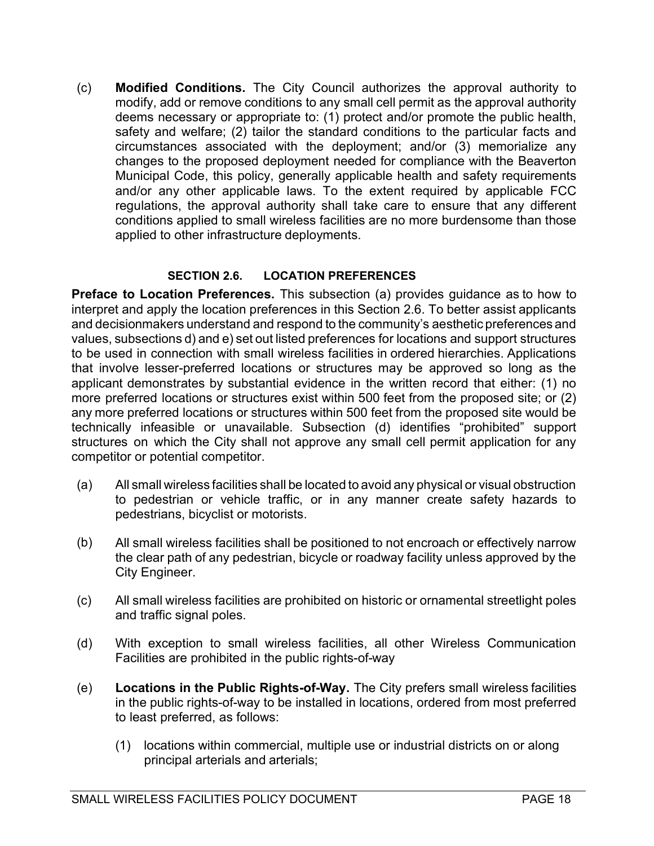(c) Modified Conditions. The City Council authorizes the approval authority to modify, add or remove conditions to any small cell permit as the approval authority deems necessary or appropriate to: (1) protect and/or promote the public health, safety and welfare; (2) tailor the standard conditions to the particular facts and circumstances associated with the deployment; and/or (3) memorialize any changes to the proposed deployment needed for compliance with the Beaverton Municipal Code, this policy, generally applicable health and safety requirements and/or any other applicable laws. To the extent required by applicable FCC regulations, the approval authority shall take care to ensure that any different conditions applied to small wireless facilities are no more burdensome than those applied to other infrastructure deployments.

## SECTION 2.6. LOCATION PREFERENCES

Preface to Location Preferences. This subsection (a) provides guidance as to how to interpret and apply the location preferences in this Section 2.6. To better assist applicants and decisionmakers understand and respond to the community's aesthetic preferences and values, subsections d) and e) set out listed preferences for locations and support structures to be used in connection with small wireless facilities in ordered hierarchies. Applications that involve lesser-preferred locations or structures may be approved so long as the applicant demonstrates by substantial evidence in the written record that either: (1) no more preferred locations or structures exist within 500 feet from the proposed site; or (2) any more preferred locations or structures within 500 feet from the proposed site would be technically infeasible or unavailable. Subsection (d) identifies "prohibited" support structures on which the City shall not approve any small cell permit application for any competitor or potential competitor.

- (a) All small wireless facilities shall be located to avoid any physical or visual obstruction to pedestrian or vehicle traffic, or in any manner create safety hazards to pedestrians, bicyclist or motorists.
- (b) All small wireless facilities shall be positioned to not encroach or effectively narrow the clear path of any pedestrian, bicycle or roadway facility unless approved by the City Engineer.
- (c) All small wireless facilities are prohibited on historic or ornamental streetlight poles and traffic signal poles.
- (d) With exception to small wireless facilities, all other Wireless Communication Facilities are prohibited in the public rights-of-way
- (e) Locations in the Public Rights-of-Way. The City prefers small wireless facilities in the public rights-of-way to be installed in locations, ordered from most preferred to least preferred, as follows:
	- (1) locations within commercial, multiple use or industrial districts on or along principal arterials and arterials;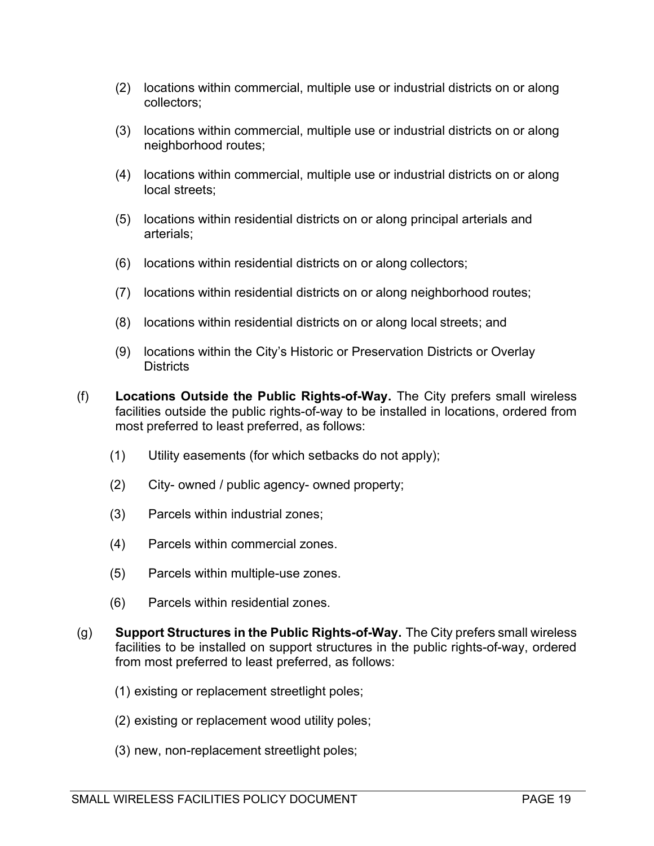- (2) locations within commercial, multiple use or industrial districts on or along collectors;
- (3) locations within commercial, multiple use or industrial districts on or along neighborhood routes;
- (4) locations within commercial, multiple use or industrial districts on or along local streets;
- (5) locations within residential districts on or along principal arterials and arterials;
- (6) locations within residential districts on or along collectors;
- (7) locations within residential districts on or along neighborhood routes;
- (8) locations within residential districts on or along local streets; and
- (9) locations within the City's Historic or Preservation Districts or Overlay **Districts**
- (f) Locations Outside the Public Rights-of-Way. The City prefers small wireless facilities outside the public rights-of-way to be installed in locations, ordered from most preferred to least preferred, as follows:
	- (1) Utility easements (for which setbacks do not apply);
	- (2) City- owned / public agency- owned property;
	- (3) Parcels within industrial zones;
	- (4) Parcels within commercial zones.
	- (5) Parcels within multiple-use zones.
	- (6) Parcels within residential zones.
- (g) Support Structures in the Public Rights-of-Way. The City prefers small wireless facilities to be installed on support structures in the public rights-of-way, ordered from most preferred to least preferred, as follows:
	- (1) existing or replacement streetlight poles;
	- (2) existing or replacement wood utility poles;
	- (3) new, non-replacement streetlight poles;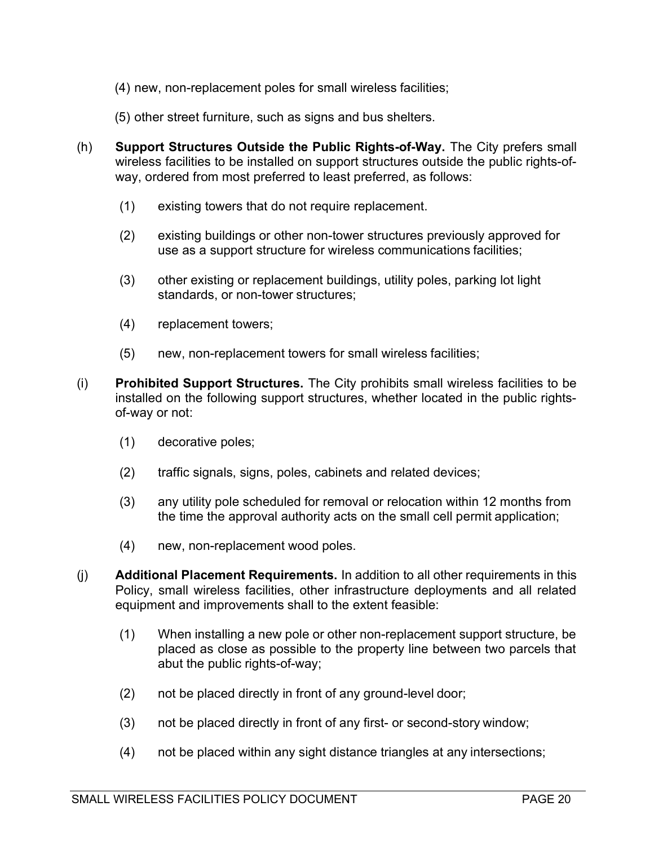- (4) new, non-replacement poles for small wireless facilities;
- (5) other street furniture, such as signs and bus shelters.
- (h) Support Structures Outside the Public Rights-of-Way. The City prefers small wireless facilities to be installed on support structures outside the public rights-ofway, ordered from most preferred to least preferred, as follows:
	- (1) existing towers that do not require replacement.
	- (2) existing buildings or other non-tower structures previously approved for use as a support structure for wireless communications facilities;
	- (3) other existing or replacement buildings, utility poles, parking lot light standards, or non-tower structures;
	- (4) replacement towers;
	- (5) new, non-replacement towers for small wireless facilities;
- (i) Prohibited Support Structures. The City prohibits small wireless facilities to be installed on the following support structures, whether located in the public rightsof-way or not:
	- (1) decorative poles;
	- (2) traffic signals, signs, poles, cabinets and related devices;
	- (3) any utility pole scheduled for removal or relocation within 12 months from the time the approval authority acts on the small cell permit application;
	- (4) new, non-replacement wood poles.
- (j) Additional Placement Requirements. In addition to all other requirements in this Policy, small wireless facilities, other infrastructure deployments and all related equipment and improvements shall to the extent feasible:
	- (1) When installing a new pole or other non-replacement support structure, be placed as close as possible to the property line between two parcels that abut the public rights-of-way;
	- (2) not be placed directly in front of any ground-level door;
	- (3) not be placed directly in front of any first- or second-story window;
	- (4) not be placed within any sight distance triangles at any intersections;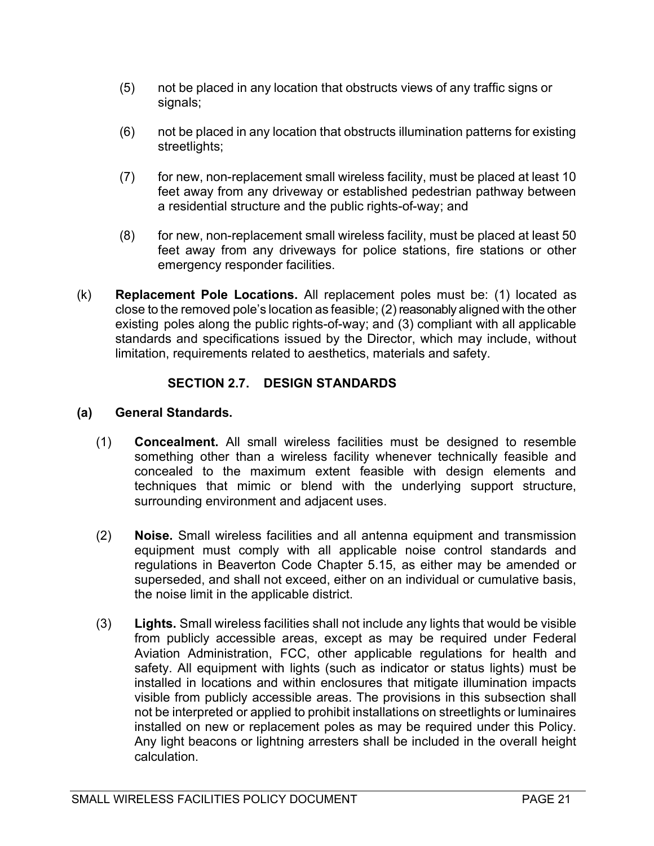- (5) not be placed in any location that obstructs views of any traffic signs or signals;
- (6) not be placed in any location that obstructs illumination patterns for existing streetlights;
- (7) for new, non-replacement small wireless facility, must be placed at least 10 feet away from any driveway or established pedestrian pathway between a residential structure and the public rights-of-way; and
- (8) for new, non-replacement small wireless facility, must be placed at least 50 feet away from any driveways for police stations, fire stations or other emergency responder facilities.
- (k) Replacement Pole Locations. All replacement poles must be: (1) located as close to the removed pole's location as feasible; (2) reasonably aligned with the other existing poles along the public rights-of-way; and (3) compliant with all applicable standards and specifications issued by the Director, which may include, without limitation, requirements related to aesthetics, materials and safety.

## SECTION 2.7. DESIGN STANDARDS

#### (a) General Standards.

- (1) Concealment. All small wireless facilities must be designed to resemble something other than a wireless facility whenever technically feasible and concealed to the maximum extent feasible with design elements and techniques that mimic or blend with the underlying support structure, surrounding environment and adjacent uses.
- (2) Noise. Small wireless facilities and all antenna equipment and transmission equipment must comply with all applicable noise control standards and regulations in Beaverton Code Chapter 5.15, as either may be amended or superseded, and shall not exceed, either on an individual or cumulative basis, the noise limit in the applicable district.
- (3) Lights. Small wireless facilities shall not include any lights that would be visible from publicly accessible areas, except as may be required under Federal Aviation Administration, FCC, other applicable regulations for health and safety. All equipment with lights (such as indicator or status lights) must be installed in locations and within enclosures that mitigate illumination impacts visible from publicly accessible areas. The provisions in this subsection shall not be interpreted or applied to prohibit installations on streetlights or luminaires installed on new or replacement poles as may be required under this Policy. Any light beacons or lightning arresters shall be included in the overall height calculation.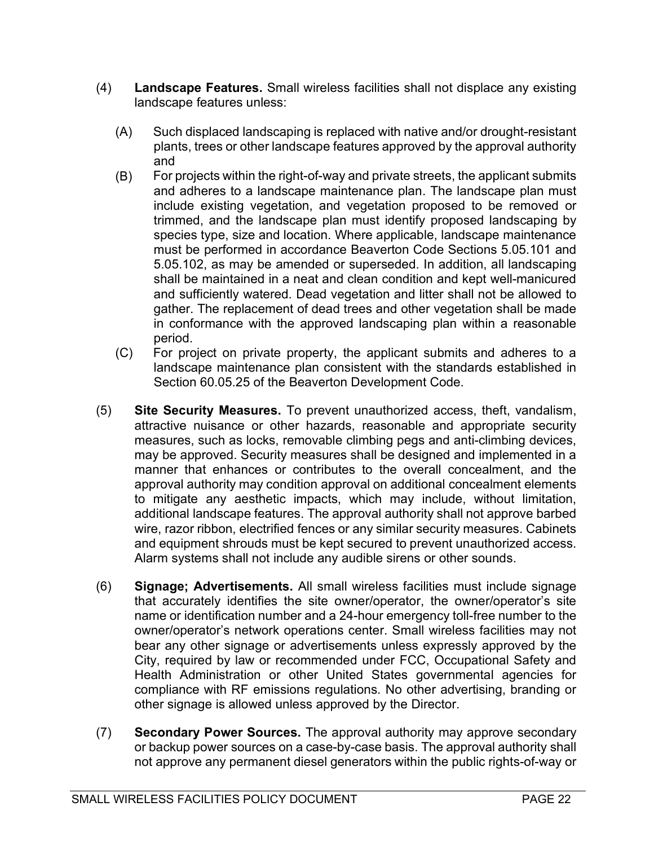- (4) Landscape Features. Small wireless facilities shall not displace any existing landscape features unless:
	- (A) Such displaced landscaping is replaced with native and/or drought-resistant plants, trees or other landscape features approved by the approval authority and
	- (B) For projects within the right-of-way and private streets, the applicant submits and adheres to a landscape maintenance plan. The landscape plan must include existing vegetation, and vegetation proposed to be removed or trimmed, and the landscape plan must identify proposed landscaping by species type, size and location. Where applicable, landscape maintenance must be performed in accordance Beaverton Code Sections 5.05.101 and 5.05.102, as may be amended or superseded. In addition, all landscaping shall be maintained in a neat and clean condition and kept well-manicured and sufficiently watered. Dead vegetation and litter shall not be allowed to gather. The replacement of dead trees and other vegetation shall be made in conformance with the approved landscaping plan within a reasonable period.
	- (C) For project on private property, the applicant submits and adheres to a landscape maintenance plan consistent with the standards established in Section 60.05.25 of the Beaverton Development Code.
- (5) Site Security Measures. To prevent unauthorized access, theft, vandalism, attractive nuisance or other hazards, reasonable and appropriate security measures, such as locks, removable climbing pegs and anti-climbing devices, may be approved. Security measures shall be designed and implemented in a manner that enhances or contributes to the overall concealment, and the approval authority may condition approval on additional concealment elements to mitigate any aesthetic impacts, which may include, without limitation, additional landscape features. The approval authority shall not approve barbed wire, razor ribbon, electrified fences or any similar security measures. Cabinets and equipment shrouds must be kept secured to prevent unauthorized access. Alarm systems shall not include any audible sirens or other sounds.
- (6) Signage; Advertisements. All small wireless facilities must include signage that accurately identifies the site owner/operator, the owner/operator's site name or identification number and a 24-hour emergency toll-free number to the owner/operator's network operations center. Small wireless facilities may not bear any other signage or advertisements unless expressly approved by the City, required by law or recommended under FCC, Occupational Safety and Health Administration or other United States governmental agencies for compliance with RF emissions regulations. No other advertising, branding or other signage is allowed unless approved by the Director.
- (7) Secondary Power Sources. The approval authority may approve secondary or backup power sources on a case-by-case basis. The approval authority shall not approve any permanent diesel generators within the public rights-of-way or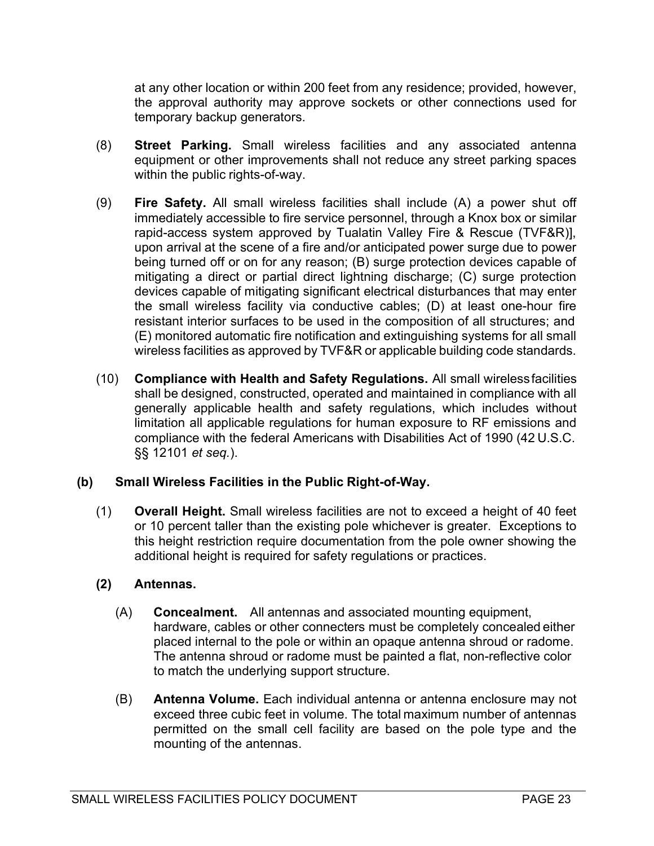at any other location or within 200 feet from any residence; provided, however, the approval authority may approve sockets or other connections used for temporary backup generators.

- (8) Street Parking. Small wireless facilities and any associated antenna equipment or other improvements shall not reduce any street parking spaces within the public rights-of-way.
- (9) Fire Safety. All small wireless facilities shall include (A) a power shut off immediately accessible to fire service personnel, through a Knox box or similar rapid-access system approved by Tualatin Valley Fire & Rescue (TVF&R)], upon arrival at the scene of a fire and/or anticipated power surge due to power being turned off or on for any reason; (B) surge protection devices capable of mitigating a direct or partial direct lightning discharge; (C) surge protection devices capable of mitigating significant electrical disturbances that may enter the small wireless facility via conductive cables; (D) at least one-hour fire resistant interior surfaces to be used in the composition of all structures; and (E) monitored automatic fire notification and extinguishing systems for all small wireless facilities as approved by TVF&R or applicable building code standards.
- (10) Compliance with Health and Safety Regulations. All small wireless facilities shall be designed, constructed, operated and maintained in compliance with all generally applicable health and safety regulations, which includes without limitation all applicable regulations for human exposure to RF emissions and compliance with the federal Americans with Disabilities Act of 1990 (42 U.S.C. §§ 12101 et seq.).

## (b) Small Wireless Facilities in the Public Right-of-Way.

(1) Overall Height. Small wireless facilities are not to exceed a height of 40 feet or 10 percent taller than the existing pole whichever is greater. Exceptions to this height restriction require documentation from the pole owner showing the additional height is required for safety regulations or practices.

## (2) Antennas.

- (A) Concealment. All antennas and associated mounting equipment, hardware, cables or other connecters must be completely concealed either placed internal to the pole or within an opaque antenna shroud or radome. The antenna shroud or radome must be painted a flat, non-reflective color to match the underlying support structure.
- (B) Antenna Volume. Each individual antenna or antenna enclosure may not exceed three cubic feet in volume. The total maximum number of antennas permitted on the small cell facility are based on the pole type and the mounting of the antennas.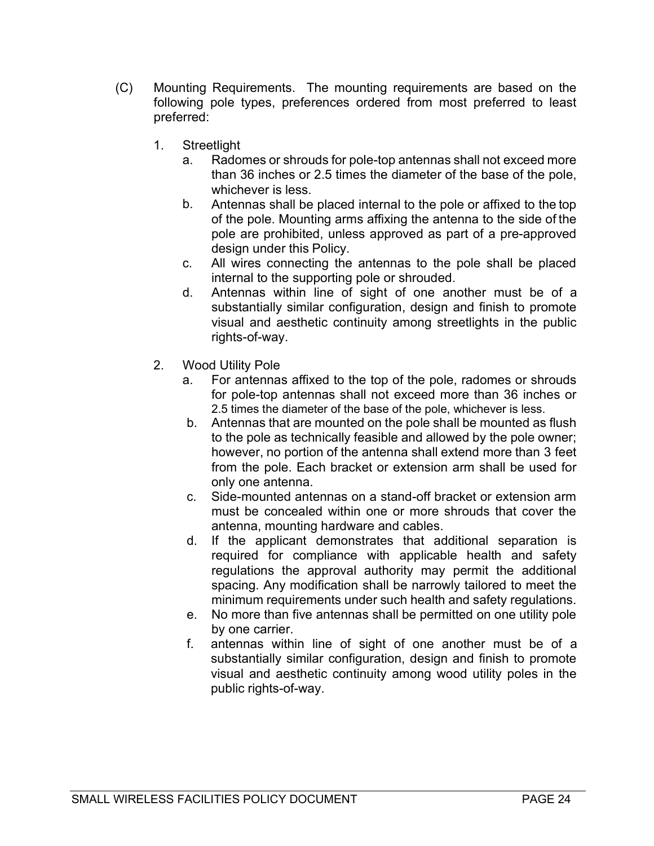- (C) Mounting Requirements. The mounting requirements are based on the following pole types, preferences ordered from most preferred to least preferred:
	- 1. Streetlight
		- a. Radomes or shrouds for pole-top antennas shall not exceed more than 36 inches or 2.5 times the diameter of the base of the pole, whichever is less.
		- b. Antennas shall be placed internal to the pole or affixed to the top of the pole. Mounting arms affixing the antenna to the side of the pole are prohibited, unless approved as part of a pre-approved design under this Policy.
		- c. All wires connecting the antennas to the pole shall be placed internal to the supporting pole or shrouded.
		- d. Antennas within line of sight of one another must be of a substantially similar configuration, design and finish to promote visual and aesthetic continuity among streetlights in the public rights-of-way.
	- 2. Wood Utility Pole
		- a. For antennas affixed to the top of the pole, radomes or shrouds for pole-top antennas shall not exceed more than 36 inches or 2.5 times the diameter of the base of the pole, whichever is less.
		- b. Antennas that are mounted on the pole shall be mounted as flush to the pole as technically feasible and allowed by the pole owner; however, no portion of the antenna shall extend more than 3 feet from the pole. Each bracket or extension arm shall be used for only one antenna.
		- c. Side-mounted antennas on a stand-off bracket or extension arm must be concealed within one or more shrouds that cover the antenna, mounting hardware and cables.
		- d. If the applicant demonstrates that additional separation is required for compliance with applicable health and safety regulations the approval authority may permit the additional spacing. Any modification shall be narrowly tailored to meet the minimum requirements under such health and safety regulations.
		- e. No more than five antennas shall be permitted on one utility pole by one carrier.
		- f. antennas within line of sight of one another must be of a substantially similar configuration, design and finish to promote visual and aesthetic continuity among wood utility poles in the public rights-of-way.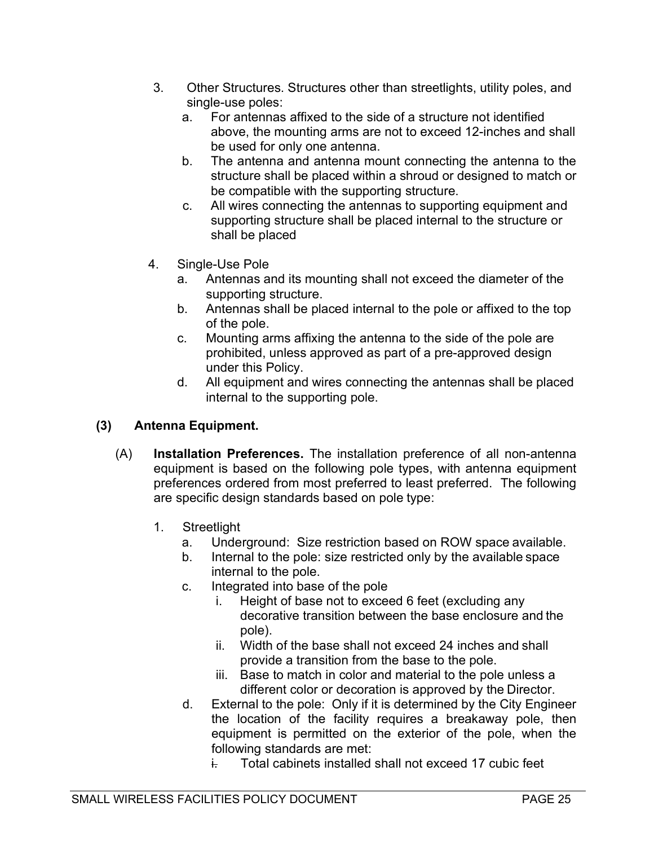- 3. Other Structures. Structures other than streetlights, utility poles, and single-use poles:
	- a. For antennas affixed to the side of a structure not identified above, the mounting arms are not to exceed 12-inches and shall be used for only one antenna.
	- b. The antenna and antenna mount connecting the antenna to the structure shall be placed within a shroud or designed to match or be compatible with the supporting structure.
	- c. All wires connecting the antennas to supporting equipment and supporting structure shall be placed internal to the structure or shall be placed
- 4. Single-Use Pole
	- a. Antennas and its mounting shall not exceed the diameter of the supporting structure.
	- b. Antennas shall be placed internal to the pole or affixed to the top of the pole.
	- c. Mounting arms affixing the antenna to the side of the pole are prohibited, unless approved as part of a pre-approved design under this Policy.
	- d. All equipment and wires connecting the antennas shall be placed internal to the supporting pole.

## (3) Antenna Equipment.

- (A) Installation Preferences. The installation preference of all non-antenna equipment is based on the following pole types, with antenna equipment preferences ordered from most preferred to least preferred. The following are specific design standards based on pole type:
	- 1. Streetlight
		- a. Underground: Size restriction based on ROW space available.
		- b. Internal to the pole: size restricted only by the available space internal to the pole.
		- c. Integrated into base of the pole
			- i. Height of base not to exceed 6 feet (excluding any decorative transition between the base enclosure and the pole).
			- ii. Width of the base shall not exceed 24 inches and shall provide a transition from the base to the pole.
			- iii. Base to match in color and material to the pole unless a different color or decoration is approved by the Director.
		- d. External to the pole: Only if it is determined by the City Engineer the location of the facility requires a breakaway pole, then equipment is permitted on the exterior of the pole, when the following standards are met:
			- i. Total cabinets installed shall not exceed 17 cubic feet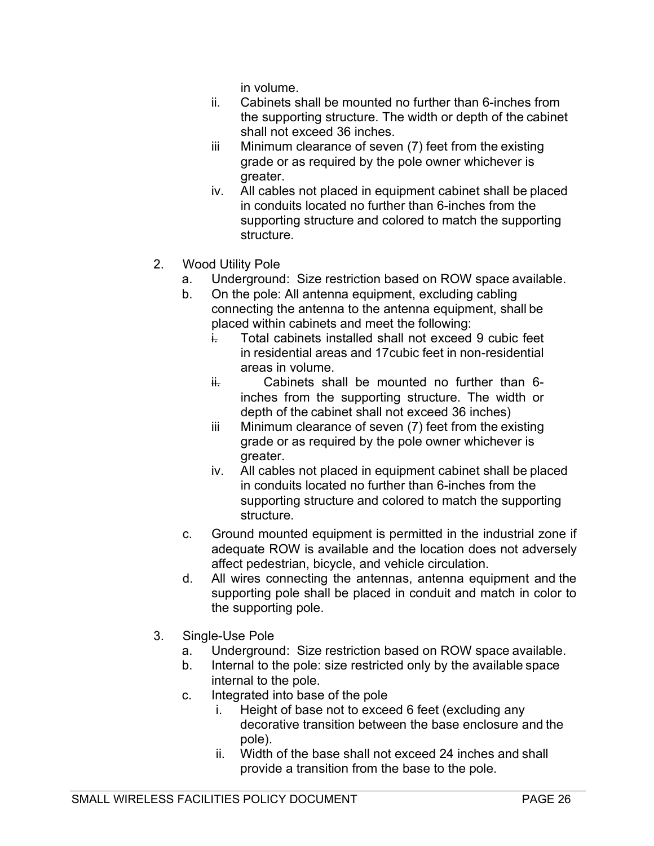in volume.

- ii. Cabinets shall be mounted no further than 6-inches from the supporting structure. The width or depth of the cabinet shall not exceed 36 inches.
- iii Minimum clearance of seven (7) feet from the existing grade or as required by the pole owner whichever is greater.
- iv. All cables not placed in equipment cabinet shall be placed in conduits located no further than 6-inches from the supporting structure and colored to match the supporting structure.
- 2. Wood Utility Pole
	- a. Underground: Size restriction based on ROW space available.
	- b. On the pole: All antenna equipment, excluding cabling connecting the antenna to the antenna equipment, shall be placed within cabinets and meet the following:
		- i. Total cabinets installed shall not exceed 9 cubic feet in residential areas and 17cubic feet in non-residential areas in volume.
		- $\frac{1}{11}$  Cabinets shall be mounted no further than 6inches from the supporting structure. The width or depth of the cabinet shall not exceed 36 inches)
		- iii Minimum clearance of seven (7) feet from the existing grade or as required by the pole owner whichever is greater.
		- iv. All cables not placed in equipment cabinet shall be placed in conduits located no further than 6-inches from the supporting structure and colored to match the supporting structure.
	- c. Ground mounted equipment is permitted in the industrial zone if adequate ROW is available and the location does not adversely affect pedestrian, bicycle, and vehicle circulation.
	- d. All wires connecting the antennas, antenna equipment and the supporting pole shall be placed in conduit and match in color to the supporting pole.
- 3. Single-Use Pole
	- a. Underground: Size restriction based on ROW space available.
	- b. Internal to the pole: size restricted only by the available space internal to the pole.
	- c. Integrated into base of the pole
		- i. Height of base not to exceed 6 feet (excluding any decorative transition between the base enclosure and the pole).
		- ii. Width of the base shall not exceed 24 inches and shall provide a transition from the base to the pole.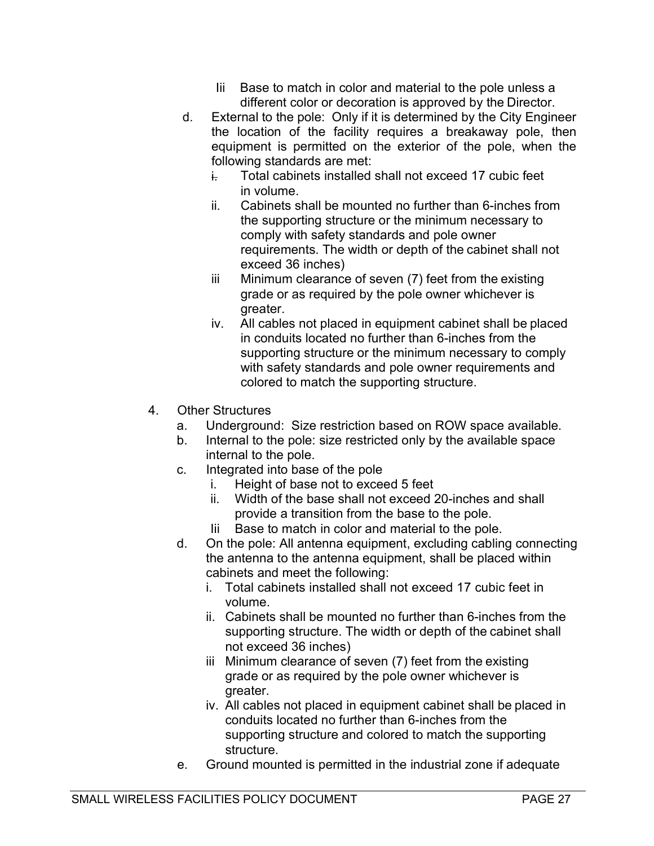- Base to match in color and material to the pole unless a different color or decoration is approved by the Director.
- d. External to the pole: Only if it is determined by the City Engineer the location of the facility requires a breakaway pole, then equipment is permitted on the exterior of the pole, when the following standards are met:
	- i. Total cabinets installed shall not exceed 17 cubic feet in volume.
	- ii. Cabinets shall be mounted no further than 6-inches from the supporting structure or the minimum necessary to comply with safety standards and pole owner requirements. The width or depth of the cabinet shall not exceed 36 inches)
	- iii Minimum clearance of seven (7) feet from the existing grade or as required by the pole owner whichever is greater.
	- iv. All cables not placed in equipment cabinet shall be placed in conduits located no further than 6-inches from the supporting structure or the minimum necessary to comply with safety standards and pole owner requirements and colored to match the supporting structure.
- 4. Other Structures
	- a. Underground: Size restriction based on ROW space available.
	- b. Internal to the pole: size restricted only by the available space internal to the pole.
	- c. Integrated into base of the pole
		- i. Height of base not to exceed 5 feet
		- ii. Width of the base shall not exceed 20-inches and shall provide a transition from the base to the pole.
		- Iii Base to match in color and material to the pole.
	- d. On the pole: All antenna equipment, excluding cabling connecting the antenna to the antenna equipment, shall be placed within cabinets and meet the following:
		- i. Total cabinets installed shall not exceed 17 cubic feet in volume.
		- ii. Cabinets shall be mounted no further than 6-inches from the supporting structure. The width or depth of the cabinet shall not exceed 36 inches)
		- iii Minimum clearance of seven (7) feet from the existing grade or as required by the pole owner whichever is greater.
		- iv. All cables not placed in equipment cabinet shall be placed in conduits located no further than 6-inches from the supporting structure and colored to match the supporting structure.
	- e. Ground mounted is permitted in the industrial zone if adequate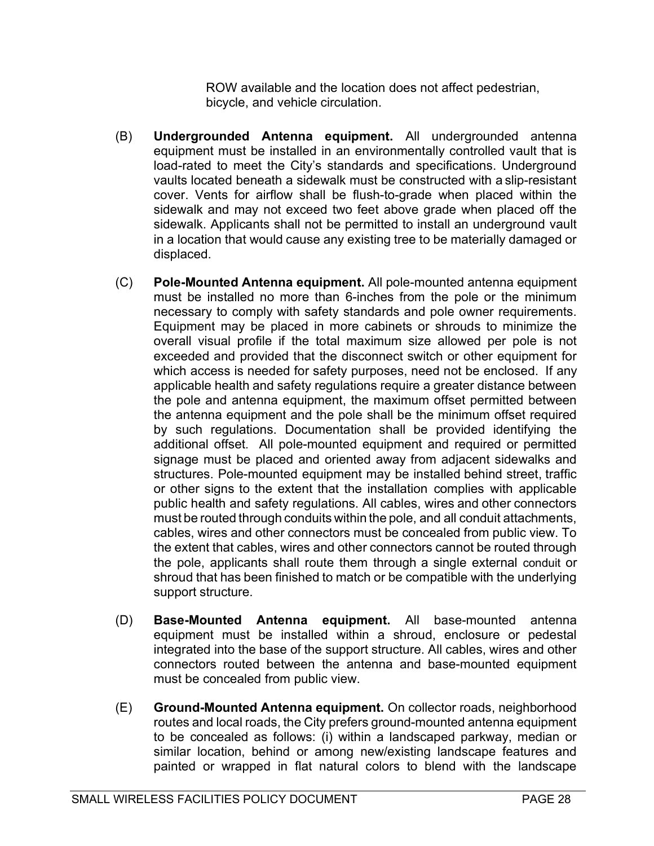ROW available and the location does not affect pedestrian, bicycle, and vehicle circulation.

- (B) Undergrounded Antenna equipment. All undergrounded antenna equipment must be installed in an environmentally controlled vault that is load-rated to meet the City's standards and specifications. Underground vaults located beneath a sidewalk must be constructed with a slip-resistant cover. Vents for airflow shall be flush-to-grade when placed within the sidewalk and may not exceed two feet above grade when placed off the sidewalk. Applicants shall not be permitted to install an underground vault in a location that would cause any existing tree to be materially damaged or displaced.
- (C) Pole-Mounted Antenna equipment. All pole-mounted antenna equipment must be installed no more than 6-inches from the pole or the minimum necessary to comply with safety standards and pole owner requirements. Equipment may be placed in more cabinets or shrouds to minimize the overall visual profile if the total maximum size allowed per pole is not exceeded and provided that the disconnect switch or other equipment for which access is needed for safety purposes, need not be enclosed. If any applicable health and safety regulations require a greater distance between the pole and antenna equipment, the maximum offset permitted between the antenna equipment and the pole shall be the minimum offset required by such regulations. Documentation shall be provided identifying the additional offset. All pole-mounted equipment and required or permitted signage must be placed and oriented away from adjacent sidewalks and structures. Pole-mounted equipment may be installed behind street, traffic or other signs to the extent that the installation complies with applicable public health and safety regulations. All cables, wires and other connectors must be routed through conduits within the pole, and all conduit attachments, cables, wires and other connectors must be concealed from public view. To the extent that cables, wires and other connectors cannot be routed through the pole, applicants shall route them through a single external conduit or shroud that has been finished to match or be compatible with the underlying support structure.
- (D) Base-Mounted Antenna equipment. All base-mounted antenna equipment must be installed within a shroud, enclosure or pedestal integrated into the base of the support structure. All cables, wires and other connectors routed between the antenna and base-mounted equipment must be concealed from public view.
- (E) Ground-Mounted Antenna equipment. On collector roads, neighborhood routes and local roads, the City prefers ground-mounted antenna equipment to be concealed as follows: (i) within a landscaped parkway, median or similar location, behind or among new/existing landscape features and painted or wrapped in flat natural colors to blend with the landscape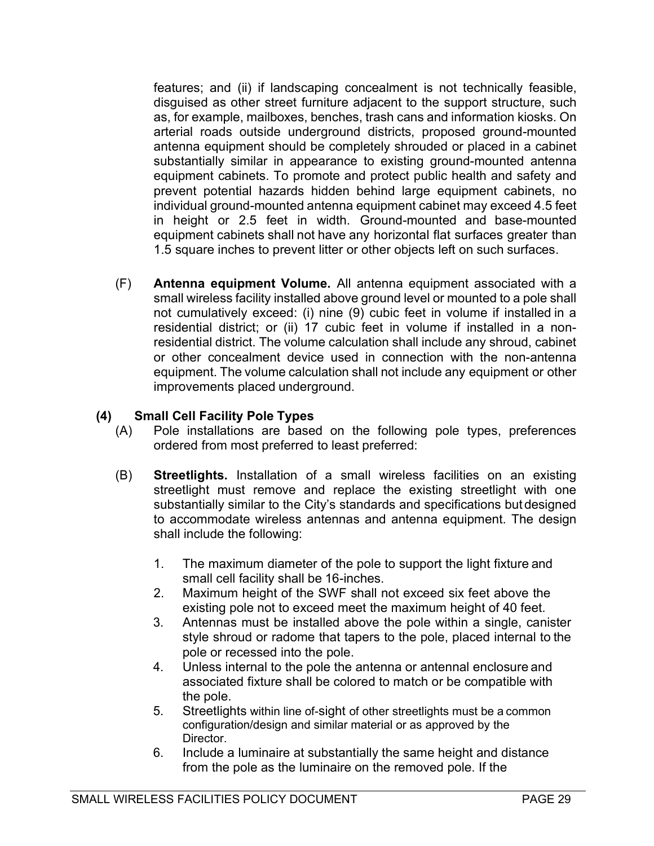features; and (ii) if landscaping concealment is not technically feasible, disguised as other street furniture adjacent to the support structure, such as, for example, mailboxes, benches, trash cans and information kiosks. On arterial roads outside underground districts, proposed ground-mounted antenna equipment should be completely shrouded or placed in a cabinet substantially similar in appearance to existing ground-mounted antenna equipment cabinets. To promote and protect public health and safety and prevent potential hazards hidden behind large equipment cabinets, no individual ground-mounted antenna equipment cabinet may exceed 4.5 feet in height or 2.5 feet in width. Ground-mounted and base-mounted equipment cabinets shall not have any horizontal flat surfaces greater than 1.5 square inches to prevent litter or other objects left on such surfaces.

(F) Antenna equipment Volume. All antenna equipment associated with a small wireless facility installed above ground level or mounted to a pole shall not cumulatively exceed: (i) nine (9) cubic feet in volume if installed in a residential district; or (ii) 17 cubic feet in volume if installed in a nonresidential district. The volume calculation shall include any shroud, cabinet or other concealment device used in connection with the non-antenna equipment. The volume calculation shall not include any equipment or other improvements placed underground.

## (4) Small Cell Facility Pole Types

- (A) Pole installations are based on the following pole types, preferences ordered from most preferred to least preferred:
- (B) Streetlights. Installation of a small wireless facilities on an existing streetlight must remove and replace the existing streetlight with one substantially similar to the City's standards and specifications but designed to accommodate wireless antennas and antenna equipment. The design shall include the following:
	- 1. The maximum diameter of the pole to support the light fixture and small cell facility shall be 16-inches.
	- 2. Maximum height of the SWF shall not exceed six feet above the existing pole not to exceed meet the maximum height of 40 feet.
	- 3. Antennas must be installed above the pole within a single, canister style shroud or radome that tapers to the pole, placed internal to the pole or recessed into the pole.
	- 4. Unless internal to the pole the antenna or antennal enclosure and associated fixture shall be colored to match or be compatible with the pole.
	- 5. Streetlights within line of-sight of other streetlights must be a common configuration/design and similar material or as approved by the Director.
	- 6. Include a luminaire at substantially the same height and distance from the pole as the luminaire on the removed pole. If the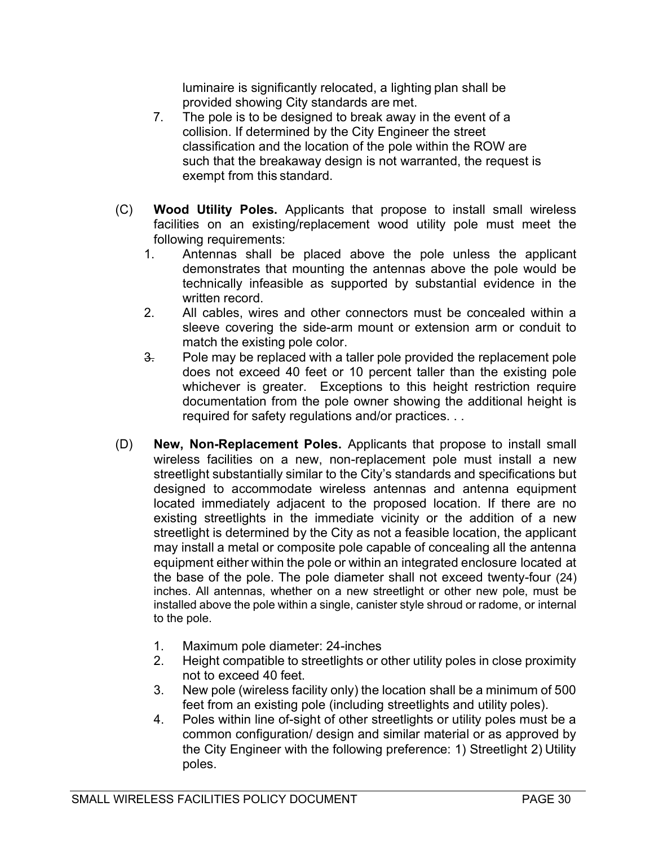luminaire is significantly relocated, a lighting plan shall be provided showing City standards are met.

- 7. The pole is to be designed to break away in the event of a collision. If determined by the City Engineer the street classification and the location of the pole within the ROW are such that the breakaway design is not warranted, the request is exempt from this standard.
- (C) Wood Utility Poles. Applicants that propose to install small wireless facilities on an existing/replacement wood utility pole must meet the following requirements:
	- 1. Antennas shall be placed above the pole unless the applicant demonstrates that mounting the antennas above the pole would be technically infeasible as supported by substantial evidence in the written record.
	- 2. All cables, wires and other connectors must be concealed within a sleeve covering the side-arm mount or extension arm or conduit to match the existing pole color.
	- $\frac{3}{2}$  Pole may be replaced with a taller pole provided the replacement pole does not exceed 40 feet or 10 percent taller than the existing pole whichever is greater. Exceptions to this height restriction require documentation from the pole owner showing the additional height is required for safety regulations and/or practices. . .
- (D) New, Non-Replacement Poles. Applicants that propose to install small wireless facilities on a new, non-replacement pole must install a new streetlight substantially similar to the City's standards and specifications but designed to accommodate wireless antennas and antenna equipment located immediately adjacent to the proposed location. If there are no existing streetlights in the immediate vicinity or the addition of a new streetlight is determined by the City as not a feasible location, the applicant may install a metal or composite pole capable of concealing all the antenna equipment either within the pole or within an integrated enclosure located at the base of the pole. The pole diameter shall not exceed twenty-four (24) inches. All antennas, whether on a new streetlight or other new pole, must be installed above the pole within a single, canister style shroud or radome, or internal to the pole.
	- 1. Maximum pole diameter: 24-inches
	- 2. Height compatible to streetlights or other utility poles in close proximity not to exceed 40 feet.
	- 3. New pole (wireless facility only) the location shall be a minimum of 500 feet from an existing pole (including streetlights and utility poles).
	- 4. Poles within line of-sight of other streetlights or utility poles must be a common configuration/ design and similar material or as approved by the City Engineer with the following preference: 1) Streetlight 2) Utility poles.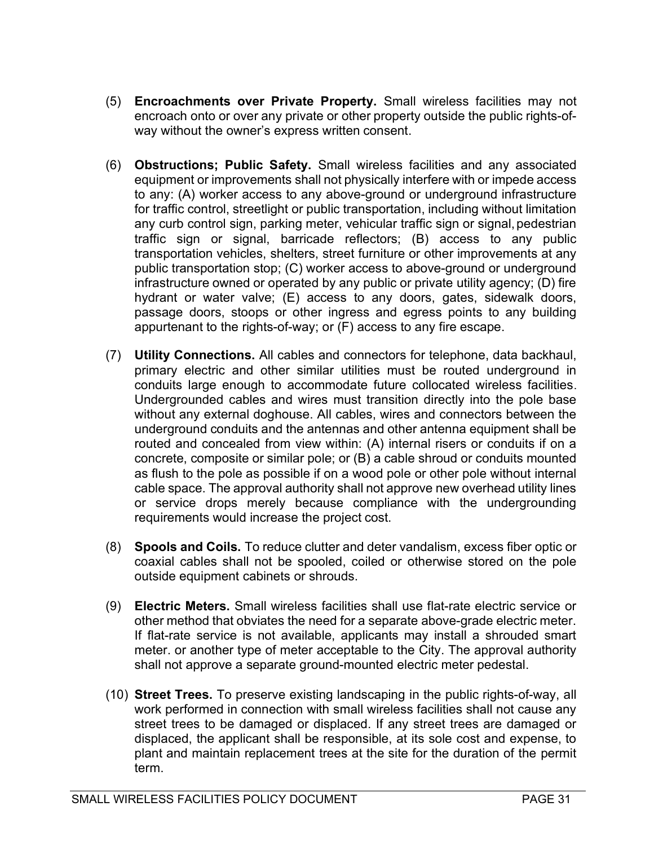- (5) Encroachments over Private Property. Small wireless facilities may not encroach onto or over any private or other property outside the public rights-ofway without the owner's express written consent.
- (6) Obstructions; Public Safety. Small wireless facilities and any associated equipment or improvements shall not physically interfere with or impede access to any: (A) worker access to any above-ground or underground infrastructure for traffic control, streetlight or public transportation, including without limitation any curb control sign, parking meter, vehicular traffic sign or signal, pedestrian traffic sign or signal, barricade reflectors; (B) access to any public transportation vehicles, shelters, street furniture or other improvements at any public transportation stop; (C) worker access to above-ground or underground infrastructure owned or operated by any public or private utility agency; (D) fire hydrant or water valve; (E) access to any doors, gates, sidewalk doors, passage doors, stoops or other ingress and egress points to any building appurtenant to the rights-of-way; or (F) access to any fire escape.
- (7) Utility Connections. All cables and connectors for telephone, data backhaul, primary electric and other similar utilities must be routed underground in conduits large enough to accommodate future collocated wireless facilities. Undergrounded cables and wires must transition directly into the pole base without any external doghouse. All cables, wires and connectors between the underground conduits and the antennas and other antenna equipment shall be routed and concealed from view within: (A) internal risers or conduits if on a concrete, composite or similar pole; or (B) a cable shroud or conduits mounted as flush to the pole as possible if on a wood pole or other pole without internal cable space. The approval authority shall not approve new overhead utility lines or service drops merely because compliance with the undergrounding requirements would increase the project cost.
- (8) Spools and Coils. To reduce clutter and deter vandalism, excess fiber optic or coaxial cables shall not be spooled, coiled or otherwise stored on the pole outside equipment cabinets or shrouds.
- (9) Electric Meters. Small wireless facilities shall use flat-rate electric service or other method that obviates the need for a separate above-grade electric meter. If flat-rate service is not available, applicants may install a shrouded smart meter. or another type of meter acceptable to the City. The approval authority shall not approve a separate ground-mounted electric meter pedestal.
- (10) Street Trees. To preserve existing landscaping in the public rights-of-way, all work performed in connection with small wireless facilities shall not cause any street trees to be damaged or displaced. If any street trees are damaged or displaced, the applicant shall be responsible, at its sole cost and expense, to plant and maintain replacement trees at the site for the duration of the permit term.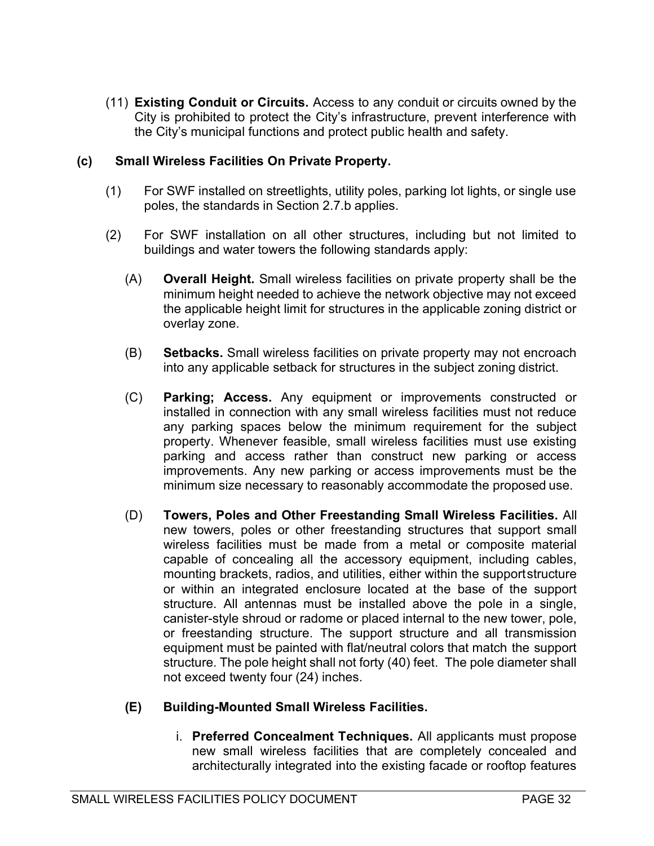(11) Existing Conduit or Circuits. Access to any conduit or circuits owned by the City is prohibited to protect the City's infrastructure, prevent interference with the City's municipal functions and protect public health and safety.

#### (c) Small Wireless Facilities On Private Property.

- (1) For SWF installed on streetlights, utility poles, parking lot lights, or single use poles, the standards in Section 2.7.b applies.
- (2) For SWF installation on all other structures, including but not limited to buildings and water towers the following standards apply:
	- (A) Overall Height. Small wireless facilities on private property shall be the minimum height needed to achieve the network objective may not exceed the applicable height limit for structures in the applicable zoning district or overlay zone.
	- (B) Setbacks. Small wireless facilities on private property may not encroach into any applicable setback for structures in the subject zoning district.
	- (C) Parking; Access. Any equipment or improvements constructed or installed in connection with any small wireless facilities must not reduce any parking spaces below the minimum requirement for the subject property. Whenever feasible, small wireless facilities must use existing parking and access rather than construct new parking or access improvements. Any new parking or access improvements must be the minimum size necessary to reasonably accommodate the proposed use.
	- (D) Towers, Poles and Other Freestanding Small Wireless Facilities. All new towers, poles or other freestanding structures that support small wireless facilities must be made from a metal or composite material capable of concealing all the accessory equipment, including cables, mounting brackets, radios, and utilities, either within the support structure or within an integrated enclosure located at the base of the support structure. All antennas must be installed above the pole in a single, canister-style shroud or radome or placed internal to the new tower, pole, or freestanding structure. The support structure and all transmission equipment must be painted with flat/neutral colors that match the support structure. The pole height shall not forty (40) feet. The pole diameter shall not exceed twenty four (24) inches.

## (E) Building-Mounted Small Wireless Facilities.

i. Preferred Concealment Techniques. All applicants must propose new small wireless facilities that are completely concealed and architecturally integrated into the existing facade or rooftop features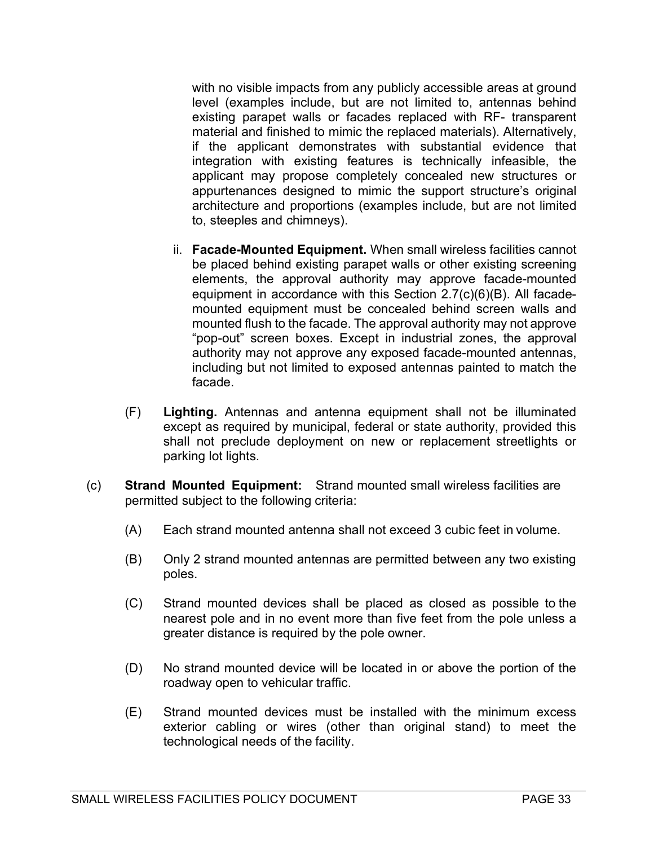with no visible impacts from any publicly accessible areas at ground level (examples include, but are not limited to, antennas behind existing parapet walls or facades replaced with RF- transparent material and finished to mimic the replaced materials). Alternatively, if the applicant demonstrates with substantial evidence that integration with existing features is technically infeasible, the applicant may propose completely concealed new structures or appurtenances designed to mimic the support structure's original architecture and proportions (examples include, but are not limited to, steeples and chimneys).

- ii. Facade-Mounted Equipment. When small wireless facilities cannot be placed behind existing parapet walls or other existing screening elements, the approval authority may approve facade-mounted equipment in accordance with this Section 2.7(c)(6)(B). All facademounted equipment must be concealed behind screen walls and mounted flush to the facade. The approval authority may not approve "pop-out" screen boxes. Except in industrial zones, the approval authority may not approve any exposed facade-mounted antennas, including but not limited to exposed antennas painted to match the facade.
- (F) Lighting. Antennas and antenna equipment shall not be illuminated except as required by municipal, federal or state authority, provided this shall not preclude deployment on new or replacement streetlights or parking lot lights.
- (c) Strand Mounted Equipment: Strand mounted small wireless facilities are permitted subject to the following criteria:
	- (A) Each strand mounted antenna shall not exceed 3 cubic feet in volume.
	- (B) Only 2 strand mounted antennas are permitted between any two existing poles.
	- (C) Strand mounted devices shall be placed as closed as possible to the nearest pole and in no event more than five feet from the pole unless a greater distance is required by the pole owner.
	- (D) No strand mounted device will be located in or above the portion of the roadway open to vehicular traffic.
	- (E) Strand mounted devices must be installed with the minimum excess exterior cabling or wires (other than original stand) to meet the technological needs of the facility.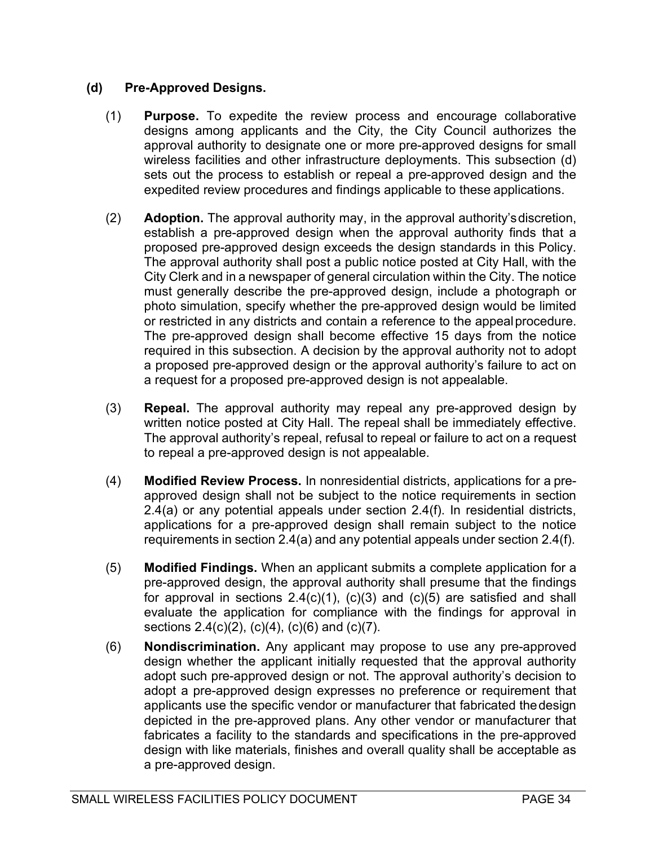## (d) Pre-Approved Designs.

- (1) Purpose. To expedite the review process and encourage collaborative designs among applicants and the City, the City Council authorizes the approval authority to designate one or more pre-approved designs for small wireless facilities and other infrastructure deployments. This subsection (d) sets out the process to establish or repeal a pre-approved design and the expedited review procedures and findings applicable to these applications.
- (2) Adoption. The approval authority may, in the approval authority's discretion, establish a pre-approved design when the approval authority finds that a proposed pre-approved design exceeds the design standards in this Policy. The approval authority shall post a public notice posted at City Hall, with the City Clerk and in a newspaper of general circulation within the City. The notice must generally describe the pre-approved design, include a photograph or photo simulation, specify whether the pre-approved design would be limited or restricted in any districts and contain a reference to the appeal procedure. The pre-approved design shall become effective 15 days from the notice required in this subsection. A decision by the approval authority not to adopt a proposed pre-approved design or the approval authority's failure to act on a request for a proposed pre-approved design is not appealable.
- (3) Repeal. The approval authority may repeal any pre-approved design by written notice posted at City Hall. The repeal shall be immediately effective. The approval authority's repeal, refusal to repeal or failure to act on a request to repeal a pre-approved design is not appealable.
- (4) Modified Review Process. In nonresidential districts, applications for a preapproved design shall not be subject to the notice requirements in section 2.4(a) or any potential appeals under section 2.4(f). In residential districts, applications for a pre-approved design shall remain subject to the notice requirements in section 2.4(a) and any potential appeals under section 2.4(f).
- (5) Modified Findings. When an applicant submits a complete application for a pre-approved design, the approval authority shall presume that the findings for approval in sections  $2.4(c)(1)$ ,  $(c)(3)$  and  $(c)(5)$  are satisfied and shall evaluate the application for compliance with the findings for approval in sections  $2.4(c)(2)$ ,  $(c)(4)$ ,  $(c)(6)$  and  $(c)(7)$ .
- (6) Nondiscrimination. Any applicant may propose to use any pre-approved design whether the applicant initially requested that the approval authority adopt such pre-approved design or not. The approval authority's decision to adopt a pre-approved design expresses no preference or requirement that applicants use the specific vendor or manufacturer that fabricated the design depicted in the pre-approved plans. Any other vendor or manufacturer that fabricates a facility to the standards and specifications in the pre-approved design with like materials, finishes and overall quality shall be acceptable as a pre-approved design.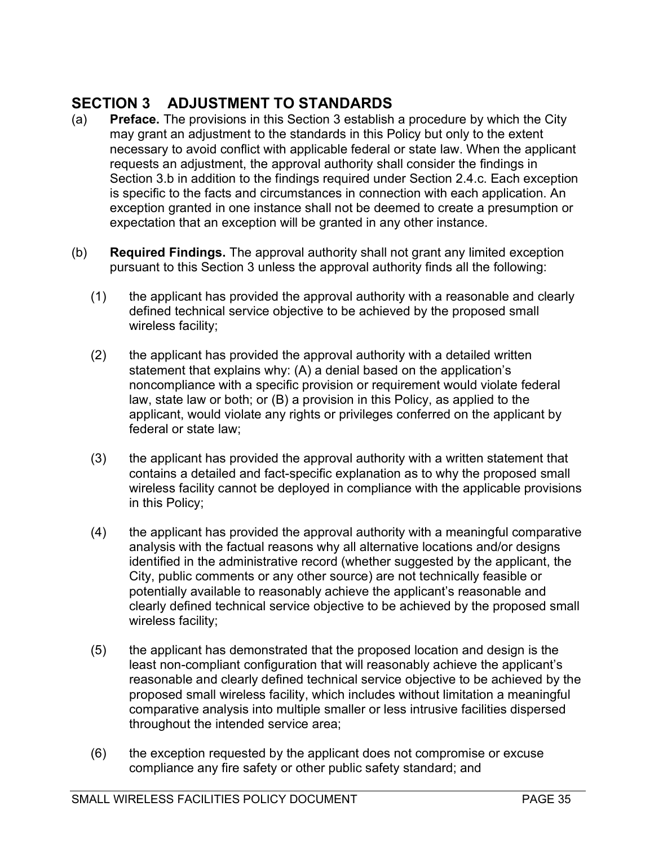# SECTION 3 ADJUSTMENT TO STANDARDS

- (a) Preface. The provisions in this Section 3 establish a procedure by which the City may grant an adjustment to the standards in this Policy but only to the extent necessary to avoid conflict with applicable federal or state law. When the applicant requests an adjustment, the approval authority shall consider the findings in Section 3.b in addition to the findings required under Section 2.4.c. Each exception is specific to the facts and circumstances in connection with each application. An exception granted in one instance shall not be deemed to create a presumption or expectation that an exception will be granted in any other instance.
- (b) Required Findings. The approval authority shall not grant any limited exception pursuant to this Section 3 unless the approval authority finds all the following:
	- (1) the applicant has provided the approval authority with a reasonable and clearly defined technical service objective to be achieved by the proposed small wireless facility;
	- (2) the applicant has provided the approval authority with a detailed written statement that explains why: (A) a denial based on the application's noncompliance with a specific provision or requirement would violate federal law, state law or both; or (B) a provision in this Policy, as applied to the applicant, would violate any rights or privileges conferred on the applicant by federal or state law;
	- (3) the applicant has provided the approval authority with a written statement that contains a detailed and fact-specific explanation as to why the proposed small wireless facility cannot be deployed in compliance with the applicable provisions in this Policy;
	- (4) the applicant has provided the approval authority with a meaningful comparative analysis with the factual reasons why all alternative locations and/or designs identified in the administrative record (whether suggested by the applicant, the City, public comments or any other source) are not technically feasible or potentially available to reasonably achieve the applicant's reasonable and clearly defined technical service objective to be achieved by the proposed small wireless facility;
	- (5) the applicant has demonstrated that the proposed location and design is the least non-compliant configuration that will reasonably achieve the applicant's reasonable and clearly defined technical service objective to be achieved by the proposed small wireless facility, which includes without limitation a meaningful comparative analysis into multiple smaller or less intrusive facilities dispersed throughout the intended service area;
	- (6) the exception requested by the applicant does not compromise or excuse compliance any fire safety or other public safety standard; and